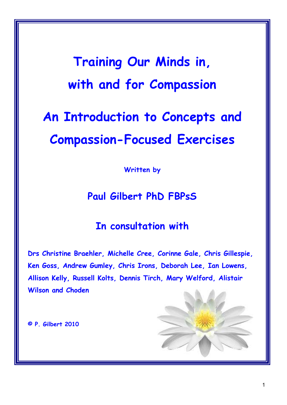# **Training Our Minds in, with and for Compassion**

# **An Introduction to Concepts and Compassion-Focused Exercises**

**Written by** 

# **Paul Gilbert PhD FBPsS**

## **In consultation with**

**Drs Christine Braehler, Michelle Cree, Corinne Gale, Chris Gillespie, Ken Goss, Andrew Gumley, Chris Irons, Deborah Lee, Ian Lowens, Allison Kelly, Russell Kolts, Dennis Tirch, Mary Welford, Alistair Wilson and Choden** 

**© P. Gilbert 2010**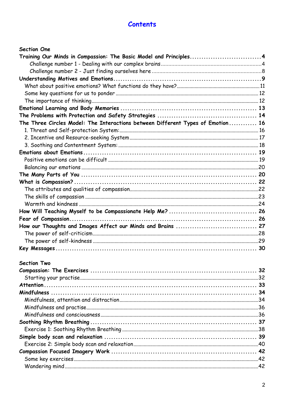## **Contents**

### Section One

| Training Our Minds in Compassion: The Basic Model and Principles4               |  |
|---------------------------------------------------------------------------------|--|
|                                                                                 |  |
|                                                                                 |  |
|                                                                                 |  |
|                                                                                 |  |
|                                                                                 |  |
|                                                                                 |  |
|                                                                                 |  |
|                                                                                 |  |
| The Three Circles Model: The Interactions between Different Types of Emotion 16 |  |
|                                                                                 |  |
|                                                                                 |  |
|                                                                                 |  |
|                                                                                 |  |
|                                                                                 |  |
|                                                                                 |  |
|                                                                                 |  |
|                                                                                 |  |
|                                                                                 |  |
|                                                                                 |  |
|                                                                                 |  |
|                                                                                 |  |
|                                                                                 |  |
|                                                                                 |  |
|                                                                                 |  |
|                                                                                 |  |
|                                                                                 |  |
|                                                                                 |  |

## Section Two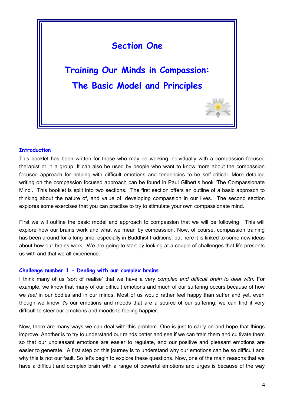## **Section One**

**Training Our Minds in Compassion: The Basic Model and Principles** 

#### **Introduction**

This booklet has been written for those who may be working individually with a compassion focused therapist or in a group. It can also be used by people who want to know more about the compassion focused approach for helping with difficult emotions and tendencies to be self-critical. More detailed writing on the compassion focused approach can be found in Paul Gilbert's book 'The Compassionate Mind'. This booklet is split into two sections. The first section offers an outline of a basic approach to thinking about the nature of, and value of, developing compassion in our lives. The second section explores some exercises that you can practise to try to stimulate your own compassionate mind.

First we will outline the basic model and approach to compassion that we will be following. This will explore how our brains work and what we mean by compassion. Now, of course, compassion training has been around for a long time, especially in Buddhist traditions, but here it is linked to some new ideas about how our brains work. We are going to start by looking at a couple of challenges that life presents us with and that we all experience.

#### **Challenge number 1 - Dealing with our complex brains**

I think many of us 'sort of realise' that we have a very *complex and difficult brain to deal with*. For example, we know that many of our difficult emotions and much of our suffering occurs because of how we *feel* in our bodies and in our minds. Most of us would rather feel happy than suffer and yet, even though we know it's our emotions and moods that are a source of our suffering, we can find it very difficult to steer our emotions and moods to feeling happier.

Now, there are many ways we can deal with this problem. One is just to carry on and hope that things improve. Another is to try to understand our minds better and see if we can train them and cultivate them so that our unpleasant emotions are easier to regulate, and our positive and pleasant emotions are easier to generate. A first step on this journey is to understand why our emotions can be so difficult and why this is not our fault. So let's begin to explore these questions. Now, one of the main reasons that we have a difficult and complex brain with a range of powerful emotions and urges is because of the way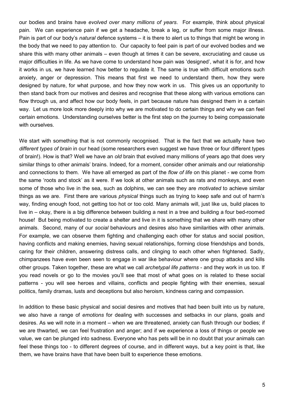our bodies and brains have *evolved over many millions of years*. For example, think about physical pain. We can experience pain if we get a headache, break a leg, or suffer from some major illness. Pain is part of our body's *natural* defence systems – it is there to alert us to things that might be wrong in the body that we need to pay attention to. Our capacity to feel pain is part of our evolved bodies and we share this with many other animals – even though at times it can be severe, excruciating and cause us major difficulties in life. As we have come to understand how pain was 'designed', what it is for, and how it works in us, we have learned how better to regulate it. The same is true with difficult emotions such anxiety, anger or depression. This means that first we need to understand them, how they were designed by nature, for what purpose, and how they now work in us. This gives us an opportunity to then stand back from our motives and desires and recognise that these along with various emotions can flow through us, and affect how our body feels, in part because nature has designed them in a certain way. Let us more look more deeply into why we are motivated to do certain things and why we can feel certain emotions. Understanding ourselves better is the first step on the journey to being compassionate with ourselves.

We start with something that is not commonly recognised. That is the fact that we actually have two *different types of brain* in our head (some researchers even suggest we have three or four different types of brain!). How is that? Well we have an *old* brain that evolved many millions of years ago that does very similar things to other animals' brains. Indeed, for a moment, consider other animals and our relationship and connections to them. We have all emerged as part of the *flow of life* on this planet - we come from the same 'roots and stock' as it were. If we look at other animals such as rats and monkeys, and even some of those who live in the sea, such as dolphins, we can see they are *motivated* to achieve similar things as we are. First there are various *physical* things such as trying to keep safe and out of harm's way, finding enough food, not getting too hot or too cold. Many animals will, just like us, build places to live in – okay, there is a big difference between building a nest in a tree and building a four bed-roomed house! But being motivated to create a shelter and live in it is something that we share with many other animals. Second, many of our *social* behaviours and desires also have similarities with other animals. For example, we can observe them fighting and challenging each other for status and social position, having conflicts and making enemies, having sexual relationships, forming close friendships and bonds, caring for their children, answering distress calls, and clinging to each other when frightened. Sadly, chimpanzees have even been seen to engage in war like behaviour where one group attacks and kills other groups. Taken together, these are what we call *archetypal life patterns* - and they work in us too. If you read novels or go to the movies you'll see that most of what goes on is related to these social patterns - you will see heroes and villains, conflicts and people fighting with their enemies, sexual politics, family dramas, lusts and deceptions but also heroism, kindness caring and compassion.

In addition to these basic physical and social desires and motives that had been built into us by nature, we also have a range of *emotions* for dealing with successes and setbacks in our plans, goals and desires. As we will note in a moment – when we are threatened, anxiety can flush through our bodies; if we are thwarted, we can feel frustration and anger; and if we experience a loss of things or people we value, we can be plunged into sadness. Everyone who has pets will be in no doubt that your animals can feel these things too - to different degrees of course, and in different ways, but a key point is that, like them, we have brains have that have been built to experience these emotions.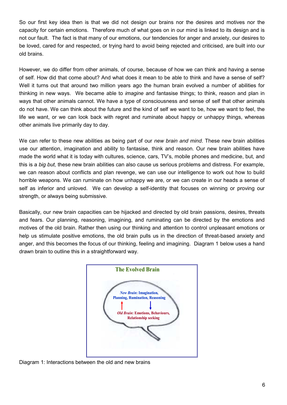So our first key idea then is that we did not design our brains nor the desires and motives nor the capacity for certain emotions. Therefore much of what goes on in our mind is linked to its design and is not our fault. The fact is that many of our emotions, our tendencies for anger and anxiety, our desires to be loved, cared for and respected, or trying hard to avoid being rejected and criticised, are built into our old brains.

However, we do differ from other animals, of course, because of how we can think and having a sense of self. How did that come about? And what does it mean to be able to think and have a sense of self? Well it turns out that around two million years ago the human brain evolved a number of abilities for thinking in new ways. We became able to *imagine* and fantasise things; to think, reason and plan in ways that other animals cannot. We have a type of consciousness and sense of self that other animals do not have. We can think about the future and the kind of self we want to be, how we want to feel, the life we want, or we can look back with regret and ruminate about happy or unhappy things, whereas other animals live primarily day to day.

We can refer to these new abilities as being part of our *new brain and mind*. These new brain abilities use our attention, imagination and ability to fantasise, think and reason. Our new brain abilities have made the world what it is today with cultures, science, cars, TV's, mobile phones and medicine, but, and this is a *big but,* these new brain abilities can also cause us serious problems and distress. For example, we can reason about conflicts and plan revenge, we can use our intelligence to work out how to build horrible weapons. We can ruminate on how unhappy we are, or we can create in our heads a sense of self as inferior and unloved. We can develop a self-identity that focuses on winning or proving our strength, or always being submissive.

Basically, our new brain capacities can be hijacked and directed by old brain passions, desires, threats and fears. Our planning, reasoning, imagining, and ruminating can be directed by the emotions and motives of the old brain. Rather then using our thinking and attention to control unpleasant emotions or help us stimulate positive emotions, the old brain pulls us in the direction of threat-based anxiety and anger, and this becomes the focus of our thinking, feeling and imagining. Diagram 1 below uses a hand drawn brain to outline this in a straightforward way.



Diagram 1: Interactions between the old and new brains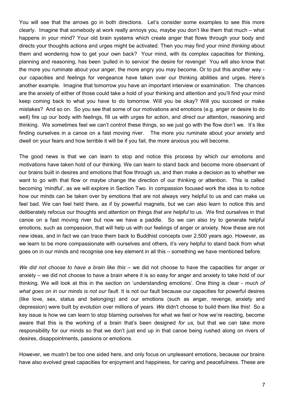You will see that the arrows go in both directions. Let's consider some examples to see this more clearly. Imagine that somebody at work really annoys you, maybe you don't like them that much – what happens in your mind? Your old brain systems which create anger that flows through your body and directs your thoughts actions and urges might be activated. Then you may find your mind *thinking* about them and wondering how to get your own back? Your mind, with its complex capacities for thinking, planning and reasoning, has been 'pulled in to service' the desire for revenge! You will also know that the more you ruminate about your anger, the more angry you may become. Or to put this another way our capacities and feelings for vengeance have taken over our thinking abilities and urges. Here's another example. Imagine that tomorrow you have an important interview or examination. The chances are the anxiety of either of those could take a hold of your thinking and attention and you'll find your mind keep coming back to what you have to do tomorrow. Will you be okay? Will you succeed or make mistakes? And so on. So you see that some of our motivations and emotions (e.g. anger or desire to do well) fire up our body with feelings, fill us with urges for action, and *direct* our attention, reasoning and thinking. We sometimes feel we can't control these things, so we just go with the flow don't we. It's like finding ourselves in a canoe on a fast moving river. The more you ruminate about your anxiety and dwell on your fears and how terrible it will be if you fail, the more anxious you will become.

The good news is that we can learn to stop and notice this process by which our emotions and motivations have taken hold of our thinking. We can learn to stand back and become more observant of our brains built in desires and emotions that flow through us, and then make a decision as to whether we want to go with that flow or maybe change the direction of our thinking or attention. This is called becoming 'mindful', as we will explore in Section Two. In compassion focused work the idea is to notice how our minds can be taken over by emotions that are not always very helpful to us and can make us feel bad. We can feel held there, as if by powerful magnets, but we can also learn to notice this and deliberately refocus our thoughts and attention on things *that are helpful* to us. We find ourselves in that canoe on a fast moving river but now we have a paddle. So we can also try to generate helpful emotions, such as compassion, that will help us with our feelings of anger or anxiety. Now these are not new ideas, and in fact we can trace them back to Buddhist concepts over 2,500 years ago. However, as we learn to be more compassionate with ourselves and others, it's very helpful to stand back from what goes on in our minds and recognise one key element in all this – something we have mentioned before.

*We did not choose to have a brain like this* – we did not choose to have the capacities for anger or anxiety – we did not choose to have a brain where it is so easy for anger and anxiety to take hold of our thinking. We will look at this in the section on 'understanding emotions'. One thing is clear - *much of what goes on in our minds is not our fault*. It is not our fault because our capacities for powerful desires (like love, sex, status and belonging) and our emotions (such as anger, revenge, anxiety and depression) were built by evolution over millions of years. *We* didn't choose to build them like this! So a key issue is how we can learn to stop blaming ourselves for what we feel or how we're reacting, become aware that this is the working of a brain that's been designed *for us,* but that we can take more responsibility for our minds so that we don't just end up in that canoe being rushed along on rivers of desires, disappointments, passions or emotions.

However, we mustn't be too one sided here, and only focus on unpleasant emotions, because our brains have also evolved great capacities for enjoyment and happiness, for caring and peacefulness. These are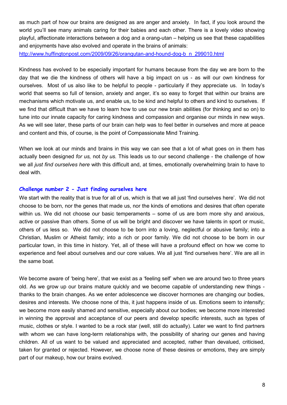as much part of how our brains are designed as are anger and anxiety. In fact, if you look around the world you'll see many animals caring for their babies and each other. There is a lovely video showing playful, affectionate interactions between a dog and a orang-utan – helping us see that these capabilities and enjoyments have also evolved and operate in the brains of animals:

http://www.huffingtonpost.com/2009/09/26/orangutan-and-hound-dog-b\_n\_299010.html

Kindness has evolved to be especially important for humans because from the day we are born to the day that we die the kindness of others will have a big impact on us - as will our own kindness for ourselves. Most of us also like to be helpful to people - particularly if they appreciate us. In today's world that seems so full of tension, anxiety and anger, it's so easy to forget that within our brains are mechanisms which motivate us, and enable us, to be kind and helpful to others and kind to ourselves. If we find that difficult than we have to learn how to use our new brain abilities (for thinking and so on) to tune into our innate capacity for caring kindness and compassion and organise our minds in new ways. As we will see later, these parts of our brain can help was to feel better in ourselves and more at peace and content and this, of course, is the point of Compassionate Mind Training.

When we look at our minds and brains in this way we can see that a lot of what goes on in them has actually been designed *for us,* not *by us.* This leads us to our second challenge - the challenge of how we all *just find ourselves here* with this difficult and, at times, emotionally overwhelming brain to have to deal with.

#### **Challenge number 2 - Just finding ourselves here**

We start with the reality that is true for all of us, which is that we all just 'find ourselves here'. We did not choose to be born, nor the genes that made us, nor the kinds of emotions and desires that often operate within us. We did not choose our basic temperaments – some of us are born more shy and anxious, active or passive than others. Some of us will be bright and discover we have talents in sport or music, others of us less so. We did not choose to be born into a loving, neglectful or abusive family; into a Christian, Muslim or Atheist family; into a rich or poor family. We did not choose to be born in our particular town, in this time in history. Yet, all of these will have a profound effect on how we come to experience and feel about ourselves and our core values. We all just 'find ourselves here'. We are all in the same boat.

We become aware of 'being here', that we exist as a 'feeling self' when we are around two to three years old. As we grow up our brains mature quickly and we become capable of understanding new things thanks to the brain changes. As we enter adolescence we discover hormones are changing our bodies, desires and interests. We choose none of this, it just happens inside of us. Emotions seem to intensify; we become more easily shamed and sensitive, especially about our bodies; we become more interested in winning the approval and acceptance of our peers and develop specific interests, such as types of music, clothes or style. I wanted to be a rock star (well, still do actually). Later we want to find partners with whom we can have long-term relationships with, the possibility of sharing our genes and having children. All of us want to be valued and appreciated and accepted, rather than devalued, criticised, taken for granted or rejected. However, we choose none of these desires or emotions, they are simply part of our makeup, how our brains evolved.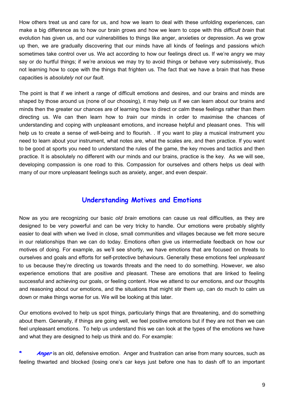How others treat us and care for us, and how we learn to deal with these unfolding experiences, can make a big difference as to how our brain grows and how we learn to cope with this *difficult brain* that evolution has given us, and our vulnerabilities to things like anger, anxieties or depression. As we grow up then, we are gradually discovering that our minds have all kinds of feelings and passions which sometimes take control over us. We act according to how our feelings direct us. If we're angry we may say or do hurtful things; if we're anxious we may try to avoid things or behave very submissively, thus not learning how to cope with the things that frighten us. The fact that we have a brain that has these capacities is *absolutely not our fault*.

The point is that if we inherit a range of difficult emotions and desires, and our brains and minds are shaped by those around us (none of our choosing), it may help us if we can learn about our brains and minds then the greater our chances are of learning how to direct or calm these feelings rather than them directing us. We can then learn how to *train* our minds in order to maximise the chances of understanding and coping with unpleasant emotions, and increase helpful and pleasant ones. This will help us to create a sense of well-being and to flourish. . If you want to play a musical instrument you need to learn about your instrument, what notes are, what the scales are, and then practice. If you want to be good at sports you need to understand the rules of the game, the key moves and tactics and then practice. It is absolutely no different with our minds and our brains, practice is the key. As we will see, developing compassion is one road to this. Compassion for ourselves and others helps us deal with many of our more unpleasant feelings such as anxiety, anger, and even despair.

## **Understanding Motives and Emotions**

Now as you are recognizing our basic *old brain* emotions can cause us real difficulties, as they are designed to be very powerful and can be very tricky to handle. Our emotions were probably slightly easier to deal with when we lived in close, small communities and villages because we felt more secure in our relationships than we can do today. Emotions often give us intermediate feedback on how our motives of doing. For example, as we'll see shortly, we have emotions that are focused on threats to ourselves and goals and efforts for self-protective behaviours. Generally these emotions feel *unpleasant* to us because they're directing us towards threats and the need to do something. However, we also experience emotions that are positive and pleasant. These are emotions that are linked to feeling successful and achieving our goals, or feeling content. How we attend to our emotions, and our thoughts and reasoning about our emotions, and the situations that might stir them up, can do much to calm us down or make things worse for us. We will be looking at this later.

Our emotions evolved to help us spot things, particularly things that are threatening, and do something about them. Generally, if things are going well, we feel positive emotions but if they are not then we can feel unpleasant emotions. To help us understand this we can look at the types of the emotions we have and what they are designed to help us think and do. For example:

**Anger** is an old, defensive emotion. Anger and frustration can arise from many sources, such as feeling thwarted and blocked (losing one's car keys just before one has to dash off to an important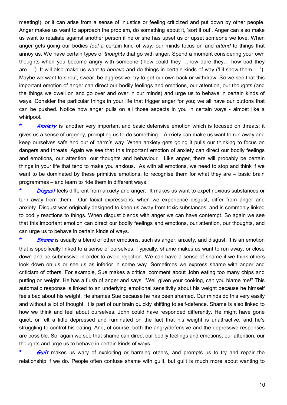meeting!), or it can arise from a sense of injustice or feeling criticized and put down by other people. Anger makes us want to approach the problem, do something about it, 'sort it out'. Anger can also make us want to retaliate against another person if he or she has upset us or upset someone we love. When anger gets going our bodies *feel* a certain kind of way; our minds focus on and *attend* to things that annoy us. We have certain types of *thoughts* that go with anger. Spend a moment considering your own thoughts when you become angry with someone ('how could they …how dare they… how bad they are….'). It will also make us want *to behave* and do things in certain kinds of way ('I'll show them…..'). Maybe we want to shout, swear, be aggressive, try to get our own back or withdraw. So we see that this important emotion of anger can direct our bodily feelings and emotions, our attention, our thoughts (and the things we dwell on and go over and over in our minds) and urge us to behave in certain kinds of ways. Consider the particular things in your life that trigger anger for you; we all have our buttons that can be pushed. Notice how anger pulls on all those aspects in you in certain ways - almost like a whirlpool.

**\* Anxiety** is another very important and basic defensive emotion which is focused on threats; it gives us a sense of urgency, prompting us to do something. Anxiety can make us want to run away and keep ourselves safe and out of harm's way. When anxiety gets going it pulls our thinking to focus on dangers and threats. Again we see that this important emotion of anxiety can direct our bodily feelings and emotions, our attention, our thoughts and behaviour. Like anger, there will probably be certain things in your life that tend to make you anxious. As with all emotions, we need to stop and think if we want to be dominated by these primitive emotions, to recognise them for what they are – basic brain programmes – and learn to ride them in different ways.

**\* Disgust** feels different from anxiety and anger. It makes us want to expel noxious substances or turn away from them. Our facial expressions, when we experience disgust, differ from anger and anxiety. Disgust was originally designed to keep us away from toxic substances, and is commonly linked to bodily reactions to things. When disgust blends with anger we can have contempt. So again we see that this important emotion can direct our bodily feelings and emotions, our attention, our thoughts, and can urge us to behave in certain kinds of ways.

*Shame* is usually a blend of other emotions, such as anger, anxiety, and disgust. It is an emotion that is specifically linked to a sense of ourselves. Typically, shame makes us want to run away, or close down and be submissive in order to avoid rejection. We can have a sense of shame if we think others look down on us or see us as inferior in some way. Sometimes we express shame with anger and criticism of others. For example, Sue makes a critical comment about John eating too many chips and putting on weight. He has a flush of anger and says, "Well given your cooking, can you blame me!" This automatic response is linked to an underlying emotional sensitivity about his weight because he himself feels bad about his weight. He shames Sue because he has been shamed. Our minds do this very easily and without a lot of thought, it is part of our brain quickly shifting to self-defence. Shame is also linked to how we think and feel about ourselves. John could have responded differently. He might have gone quiet, or felt a little depressed and ruminated on the fact that his weight is unattractive, and he's struggling to control his eating. And, of course, both the angry/defensive and the depressive responses are possible. So, again we see that shame can direct our bodily feelings and emotions, our attention, our thoughts and urge us to behave in certain kinds of ways.

**\* Guilt** makes us wary of exploiting or harming others, and prompts us to try and repair the relationship if we do. People often confuse shame with quilt, but quilt is much more about wanting to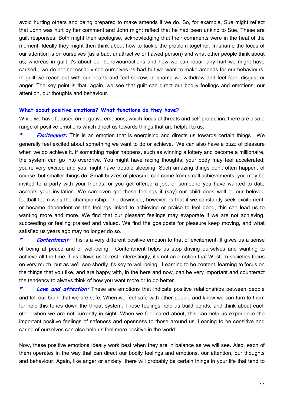avoid hurting others and being prepared to make amends if we do. So, for example, Sue might reflect that John was hurt by her comment and John might reflect that he had been unkind to Sue. These are guilt responses. Both might then apologise, acknowledging that their comments were in the heat of the moment. Ideally they might then think about how to tackle the problem together. In shame the focus of our attention is on ourselves (as a bad, unattractive or flawed person) and what other people think about us, whereas in guilt it's about our behaviour/actions and how we can repair any hurt we might have caused - we do not necessarily see ourselves as bad but we want to make amends for our behaviours. In guilt we reach out with our hearts and feel sorrow; in shame we withdraw and feel fear, disgust or anger. The key point is that, again, we see that guilt can direct our bodily feelings and emotions, our attention, our thoughts and behaviour.

#### **What about positive emotions? What functions do they have?**

While we have focused on negative emotions, which focus of threats and self-protection, there are also a range of positive emotions which direct us towards things that are helpful to us.

**\*Excitement:** This is an emotion that is energising and directs us towards certain things. We generally feel excited about something we want to do or achieve. We can also have a buzz of pleasure when we do achieve it. If something major happens, such as winning a lottery and become a millionaire, the system can go into overdrive. You might have racing thoughts; your body may feel accelerated; you're very excited and you might have trouble sleeping. Such amazing things don't often happen, of course, but smaller things do. Small buzzes of pleasure can come from small achievements, you may be invited to a party with your friends, or you get offered a job, or someone you have wanted to date accepts your invitation. We can even get these feelings if (say) our child does well or our beloved football team wins the championship. The downside, however, is that if we constantly seek excitement, or become dependent on the feelings linked to achieving or praise to feel good, this can lead us to wanting more and more. We find that our pleasant feelings may evaporate if we are not achieving, succeeding or feeling praised and valued. We find the goalposts for pleasure keep moving, and what satisfied us years ago may no longer do so.

**\*Contentment:** This is a very different positive emotion to that of excitement. It gives us a sense of being at peace and of well-being. Contentment helps us stop driving ourselves and wanting to achieve all the time. This allows us to rest. Interestingly, it's not an emotion that Western societies focus on very much, but as we'll see shortly it's key to well-being. Learning to be content, learning to focus on the things that you like, and are happy with, in the here and now, can be very important and counteract the tendency to always think of how you want more or to do better.

**\*Love and affection:** These are emotions that indicate positive relationships between people and tell our brain that we are safe. When we feel safe with other people and know we can turn to them for help this tones down the threat system. These feelings help us build bonds, and think about each other when we are not currently in sight. When we feel cared about, this can help us experience the important positive feelings of safeness and openness to those around us. Leaning to be sensitive and caring of ourselves can also help us feel more positive in the world.

Now, these positive emotions ideally work best when they are in balance as we will see. Also, each of them operates in the way that can direct our bodily feelings and emotions, our attention, our thoughts and behaviour. Again, like anger or anxiety, there will probably be certain things in your life that tend to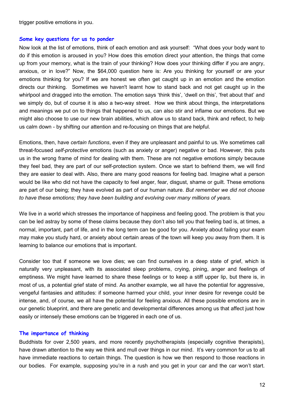trigger positive emotions in you.

#### **Some key questions for us to ponder**

Now look at the list of emotions, think of each emotion and ask yourself: "What does your body want to do if this emotion is aroused in you? How does this emotion direct your attention, the things that come up from your memory, what is the train of your thinking? How does your thinking differ if you are angry, anxious, or in love?" Now, the \$64,000 question here is: Are you thinking for yourself or are your emotions thinking for you? If we are honest we often get caught up in an emotion and the emotion directs our thinking. Sometimes we haven't learnt how to stand back and not get caught up in the whirlpool and dragged into the emotion. The emotion says 'think this', 'dwell on this', 'fret about that' and we simply do, but of course it is also a two-way street. How we think about things, the interpretations and meanings we put on to things that happened to us, can also stir and inflame our emotions. But we might also choose to use our new brain abilities, which allow us to stand back, think and reflect, to help us calm down - by shifting our attention and re-focusing on things that are helpful.

Emotions, then, have *certain functions*, even if they are unpleasant and painful to us. We sometimes call threat-focused *self-protective* emotions (such as anxiety or anger) negative or bad. However, this puts us in the wrong frame of mind for dealing with them. These are not negative emotions simply because they feel bad, they are part of our self-protection system. Once we start to befriend them, we will find they are easier to deal with. Also, there are many good reasons for feeling bad. Imagine what a person would be like who did not have the capacity to feel anger, fear, disgust, shame or guilt. These emotions are part of our being; they have evolved as part of our human nature. *But remember we did not choose to have these emotions; they have been building and evolving over many millions of years.*

We live in a world which stresses the importance of happiness and feeling good. The problem is that you can be led astray by some of these claims because they don't also tell you that feeling bad is, at times, a normal, important, part of life, and in the long term can be good for you. Anxiety about failing your exam may make you study hard, or anxiety about certain areas of the town will keep you away from them. It is learning to balance our emotions that is important.

Consider too that if someone we love dies; we can find ourselves in a deep state of grief, which is naturally very unpleasant, with its associated sleep problems, crying, pining, anger and feelings of emptiness. We might have learned to share these feelings or to keep a stiff upper lip, but there is, in most of us, a potential grief state of mind. As another example, we all have the potential for aggressive, vengeful fantasies and attitudes: if someone harmed your child, your inner desire for revenge could be intense, and, of course, we all have the potential for feeling anxious. All these possible emotions are in our genetic blueprint, and there are genetic and developmental differences among us that affect just how easily or intensely these emotions can be triggered in each one of us.

#### **The importance of thinking**

Buddhists for over 2,500 years, and more recently psychotherapists (especially cognitive therapists), have drawn attention to the way we think and mull over things in our mind. It's very common for us to all have immediate reactions to certain things. The question is how we then respond to those reactions in our bodies. For example, supposing you're in a rush and you get in your car and the car won't start.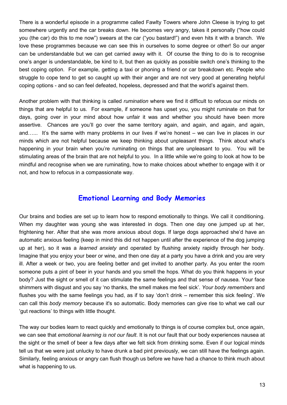There is a wonderful episode in a programme called Fawlty Towers where John Cleese is trying to get somewhere urgently and the car breaks down. He becomes very angry, takes it personally ("how could you (the car) do this to me now") swears at the car ("you bastard!") and even hits it with a branch. We love these programmes because we can see this in ourselves to some degree or other! So our anger can be understandable but we can get carried away with it. Of course the thing to do is to recognise one's anger is understandable, be kind to it, but then as quickly as possible switch one's thinking to the best coping option. For example, getting a taxi or phoning a friend or car breakdown etc. People who struggle to cope tend to get so caught up with their anger and are not very good at generating helpful coping options - and so can feel defeated, hopeless, depressed and that the world's against them.

Another problem with that thinking is called *rumination* where we find it difficult to refocus our minds on things that are helpful to us. For example, if someone has upset you, you might ruminate on that for days, going over in your mind about how unfair it was and whether you should have been more assertive. Chances are you'll go over the same territory again, and again, and again, and again, and…... It's the same with many problems in our lives if we're honest – we can live in places in our minds which are not helpful because we keep thinking about unpleasant things. Think about what's happening in your brain when you're ruminating on things that are unpleasant to you. You will be stimulating areas of the brain that are not helpful to you. In a little while we're going to look at how to be mindful and recognise when we are ruminating, how to make choices about whether to engage with it or not, and how to refocus in a compassionate way.

## **Emotional Learning and Body Memories**

Our brains and bodies are set up to learn how to respond emotionally to things. We call it conditioning. When my daughter was young she was interested in dogs. Then one day one jumped up at her, frightening her. After that she was more anxious about dogs. If large dogs approached she'd have an automatic anxious feeling (keep in mind this did not happen until after the experience of the dog jumping up at her), so it was a *learned anxiety* and operated by flushing anxiety rapidly through her body. Imagine that you enjoy your beer or wine, and then one day at a party you have a drink and you are very ill. After a week or two, you are feeling better and get invited to another party. As you enter the room someone puts a pint of beer in your hands and you smell the hops. What do you think happens in your body? Just the sight or smell of it can stimulate the same feelings and that sense of nausea. Your face shimmers with disgust and you say 'no thanks, the smell makes me feel sick'. *Your body remembers* and flushes you with the same feelings you had, as if to say 'don't drink – remember this sick feeling'. We can call this *body memory* because it's so automatic. Body memories can give rise to what we call our 'gut reactions' to things with little thought.

The way our bodies learn to react quickly and emotionally to things is of course complex but, once again, we can see that *emotional learning is not our fault*. It is not our fault that our body experiences nausea at the sight or the smell of beer a few days after we felt sick from drinking some. Even if our logical minds tell us that we were just unlucky to have drunk a bad pint previously, we can still have the feelings again. Similarly, feeling anxious or angry can flush though us before we have had a chance to think much about what is happening to us.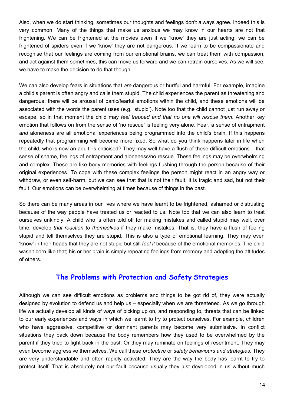Also, when we do start thinking, sometimes our thoughts and feelings don't always agree. Indeed this is very common. Many of the things that make us anxious we may know in our hearts are not that frightening. We can be frightened at the movies even if we 'know' they are just acting; we can be frightened of spiders even if we 'know' they are not dangerous. If we learn to be compassionate and recognise that our feelings are coming from our emotional brains, we can treat them with compassion, and act against them sometimes, this can move us forward and we can retrain ourselves. As we will see, we have to make the decision to do that though.

We can also develop fears in situations that *are* dangerous or hurtful and harmful. For example, imagine a child's parent is often angry and calls them stupid. The child experiences the parent as threatening and dangerous, there will be arousal of panic/fearful emotions within the child, and these emotions will be associated with the words the parent uses (e.g. 'stupid'). Note too that the child cannot just run away or escape, so in that moment the child may *feel trapped and that no one will rescue them*. Another key emotion that follows on from the sense of 'no rescue' is feeling very alone. Fear, a sense of entrapment *and* aloneness are all emotional experiences being programmed into the child's brain. If this happens repeatedly that programming will become more fixed. So what do you think happens later in life when the child, who is now an adult, is criticised? They may well have a flush of these difficult emotions – that sense of shame, feelings of entrapment and aloneness/no rescue. These feelings may be overwhelming and complex. These are like body memories with feelings flushing through the person because of their original experiences. To cope with these complex feelings the person might react in an angry way or withdraw, or even self-harm, but we can see that that is not their fault. It is tragic and sad, but not their fault. Our emotions can be overwhelming at times because of things in the past.

So there can be many areas in our lives where we have learnt to be frightened, ashamed or distrusting because of the way people have treated us or reacted to us. Note too that we can also learn to treat ourselves unkindly. A child who is often told off for making mistakes and called stupid may well, over time, develop *that reaction to themselves* if they make mistakes. That is, they have a flush of feeling stupid and tell themselves they are stupid. This is also a type of emotional learning. They may even 'know' in their heads that they are not stupid but still *feel it* because of the emotional memories. The child wasn't born like that; his or her brain is simply repeating feelings from memory and adopting the attitudes of others.

## **The Problems with Protection and Safety Strategies**

Although we can see difficult emotions as problems and things to be got rid of, they were actually designed by evolution to defend us and help us – especially when we are threatened. As we go through life we actually develop all kinds of ways of picking up on, and responding to, threats that can be linked to our early experiences and ways in which we learnt to try to protect ourselves. For example, children who have aggressive, competitive or dominant parents may become very submissive. In conflict situations they back down because the body remembers how they used to be overwhelmed by the parent if they tried to fight back in the past. Or they may ruminate on feelings of resentment. They may even become aggressive themselves. We call these *protective* or *safety behaviours and strategies*. They are very understandable and often rapidly activated. They are the way the body has learnt to try to protect itself. That is absolutely not our fault because usually they just developed in us without much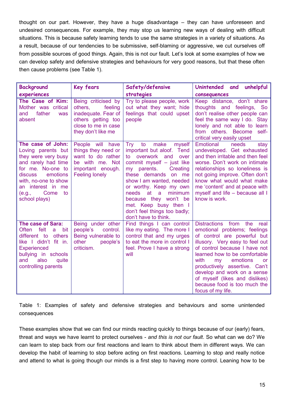thought on our part. However, they have a huge disadvantage – they can have unforeseen and undesired consequences. For example, they may stop us learning new ways of dealing with difficult situations. This is because safety learning tends to use the same strategies in a variety of situations. As a result, because of our tendencies to be submissive, self-blaming or aggressive, we cut ourselves off from possible sources of good things. Again, this is not our fault. Let's look at some examples of how we can develop safety and defensive strategies and behaviours for very good reasons, but that these often then cause problems (see Table 1).

| <b>Background</b>                                                                                                                                                                                                              | <b>Key fears</b>                                                                                                                    | Safety/defensive                                                                                                                                                                                                                                                                                                                                                               | Unintended and unhelpful                                                                                                                                                                                                                                                                                                                                                                                     |
|--------------------------------------------------------------------------------------------------------------------------------------------------------------------------------------------------------------------------------|-------------------------------------------------------------------------------------------------------------------------------------|--------------------------------------------------------------------------------------------------------------------------------------------------------------------------------------------------------------------------------------------------------------------------------------------------------------------------------------------------------------------------------|--------------------------------------------------------------------------------------------------------------------------------------------------------------------------------------------------------------------------------------------------------------------------------------------------------------------------------------------------------------------------------------------------------------|
| experiences                                                                                                                                                                                                                    |                                                                                                                                     | strategies                                                                                                                                                                                                                                                                                                                                                                     | consequences                                                                                                                                                                                                                                                                                                                                                                                                 |
| The Case of Kim:<br>Mother was critical<br>father<br>and<br>was<br>absent                                                                                                                                                      | Being criticised by<br>others.<br>feeling<br>inadequate. Fear of<br>others getting too<br>close to me in case<br>they don't like me | Try to please people, work<br>out what they want; hide<br>feelings that could upset<br>people                                                                                                                                                                                                                                                                                  | Keep distance, don't share<br>thoughts and feelings,<br><b>So</b><br>don't realise other people can<br>feel the same way I do. Stay<br>lonely and not able to learn<br>from others. Become self-<br>critical very easily upset                                                                                                                                                                               |
| The case of John:<br>Loving parents but<br>they were very busy<br>and rarely had time<br>for me. No-one to<br>emotions<br><b>discuss</b><br>with, no-one to show<br>an interest in me<br>Come<br>to<br>(e.g.,<br>school plays) | People will have<br>things they need or<br>want to do rather<br>be with me. Not<br>important enough.<br><b>Feeling lonely</b>       | make<br>to<br><b>Try</b><br>myself<br>important but aloof. Tend<br>overwork<br>and<br>to<br>over<br>commit myself - just like<br>my parents.<br>Creating<br>these demands on me<br>show I am wanted, needed<br>or worthy. Keep my own<br>at<br>minimum<br>needs<br>a<br>because they won't be<br>met. Keep busy then I<br>don't feel things too badly;<br>don't have to think. | Emotional<br>needs<br>stay<br>undeveloped. Get exhausted<br>and then irritable and then feel<br>worse. Don't work on intimate<br>relationships so loneliness is<br>not going improve. Often don't<br>know what would what make<br>me 'content' and at peace with<br>myself and life - because all I<br>know is work.                                                                                         |
| The case of Sara:<br>felt<br>Often<br>a<br>bit<br>different to<br>others<br>like I didn't fit in.<br><b>Experienced</b><br>bullying in schools<br>and<br>also<br>quite<br>controlling parents                                  | Being under other<br>people's<br>control.<br>Being vulnerable to<br>other<br>people's<br>criticism.                                 | Find things I can control<br>like my eating. The more I<br>control that and my urges<br>to eat the more in control I<br>feel. Prove I have a strong<br>will                                                                                                                                                                                                                    | <b>Distractions</b><br>from<br>the<br>real<br>emotional problems; feelings<br>of control are powerful but<br>illusory. Very easy to feel out<br>of control because I have not<br>learned how to be comfortable<br>with<br>emotions<br>my<br><b>or</b><br>productively assertive. Can't<br>develop and work on a sense<br>of myself (likes and dislikes)<br>because food is too much the<br>focus of my life. |

Table 1: Examples of safety and defensive strategies and behaviours and some unintended consequences

These examples show that we can find our minds reacting quickly to things because of our (early) fears, threat and ways we have learnt to protect ourselves - *and this is not our fault*. So what can we do? We can learn to step back from our first reactions and learn to think about them in different ways. We can develop the habit of learning to stop before acting on first reactions. Learning to stop and really notice and attend to what is going though our minds is a first step to having more control. Leaning how to be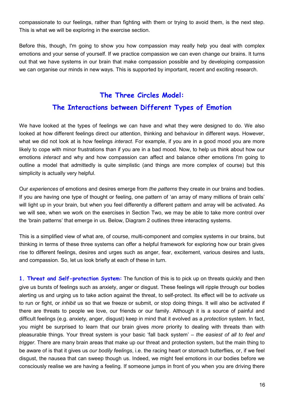compassionate to our feelings, rather than fighting with them or trying to avoid them, is the next step. This is what we will be exploring in the exercise section.

Before this, though, I'm going to show you how compassion may really help you deal with complex emotions and your sense of yourself. If we practice compassion we can even change our brains. It turns out that we have systems in our brain that make compassion possible and by developing compassion we can organise our minds in new ways. This is supported by important, recent and exciting research.

## **The Three Circles Model:**

## **The Interactions between Different Types of Emotion**

We have looked at the types of feelings we can have and what they were designed to do. We also looked at how different feelings direct our attention, thinking and behaviour in different ways. However, what we did not look at is how feelings *interact*. For example, if you are in a good mood you are more likely to cope with minor frustrations than if you are in a bad mood. Now, to help us think about how our emotions *interact* and why and how compassion can affect and balance other emotions I'm going to outline a model that admittedly is quite simplistic (and things are more complex of course) but this simplicity is actually very helpful.

Our *experiences* of emotions and desires emerge from *the patterns* they create in our brains and bodies. If you are having one type of thought or feeling, one pattern of 'an array of many millions of brain cells' will light up in your brain, but when you feel differently a different pattern and array will be activated. As we will see, when we work on the exercises in Section Two, we may be able to take more control over the 'brain patterns' that emerge in us. Below, Diagram 2 outlines three interacting systems.

This is a simplified view of what are, of course, multi-component and complex systems in our brains, but thinking in terms of these three systems can offer a helpful framework for exploring how our brain gives rise to different feelings, desires and urges such as anger, fear, excitement, various desires and lusts, and compassion. So, let us look briefly at each of these in turn.

**1. Threat and Self-protection System:** The function of this is to pick up on threats quickly and then give us bursts of feelings such as anxiety, anger or disgust. These feelings will ripple through our bodies alerting us and urging us to take action against the threat, to self-protect. Its effect will be to *activate* us to run or fight, or *inhibit* us so that we freeze or submit, or stop doing things. It will also be activated if there are threats to people we love, our friends or our family. Although it is a source of painful and difficult feelings (e.g. anxiety, anger, disgust) keep in mind that it evolved as a *protection* system. In fact, you might be surprised to learn that our brain gives *more* priority to dealing with threats than with pleasurable things. Your threat system is your basic 'fall back system' – *the easiest of all to feel and trigger*. There are many brain areas that make up our threat and protection system, but the main thing to be aware of is that it gives us *our bodily feelings*, i.e. the racing heart or stomach butterflies, or, if we feel disgust, the nausea that can sweep though us. Indeed, we might feel emotions in our bodies before we consciously realise we are having a feeling. If someone jumps in front of you when you are driving there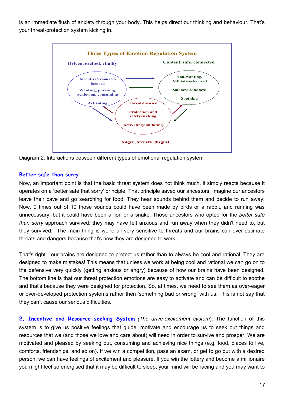is an immediate flush of anxiety through your body. This helps direct our thinking and behaviour. That's your threat-protection system kicking in.



Diagram 2: Interactions between different types of emotional regulation system

#### **Better safe than sorry**

Now, an important point is that the basic threat system does not think much, it simply reacts because it operates on a 'better safe that sorry' principle. That principle saved our ancestors. Imagine our ancestors leave their cave and go searching for food. They hear sounds behind them and decide to run away. Now, 9 times out of 10 those sounds could have been made by birds or a rabbit, and running was unnecessary, but it could have been a lion or a snake. Those ancestors who opted for the *better safe than sorry* approach survived; they may have felt anxious and run away when they didn't need to, but they survived. The main thing is we're all very sensitive to threats and our brains can over-estimate threats and dangers because that's how they are designed to work.

That's right - our brains are designed to protect us rather than to always be cool and rational. They are designed to make mistakes! This means that unless we work at being cool and rational we can go on to the defensive very quickly (getting anxious or angry) because of how our brains have been designed. The bottom line is that our threat protection emotions are easy to activate and can be difficult to soothe and that's because they were designed for protection. So, at times, we need to see them as over-eager or over-developed protection systems rather then 'something bad or wrong' with us. This is not say that they can't cause our serious difficulties.

**2. Incentive and Resource-seeking System** *(The drive-excitement system*): The function of this system is to give us positive feelings that guide, motivate and encourage us to seek out things and resources that we (and those we love and care about) will need in order to survive and prosper. We are motivated and pleased by seeking out, consuming and achieving nice things (e.g. food, places to live, comforts, friendships, and so on). If we win a competition, pass an exam, or get to go out with a desired person, we can have feelings of excitement and pleasure. If you win the lottery and become a millionaire you might feel so energised that it may be difficult to sleep, your mind will be racing and you may want to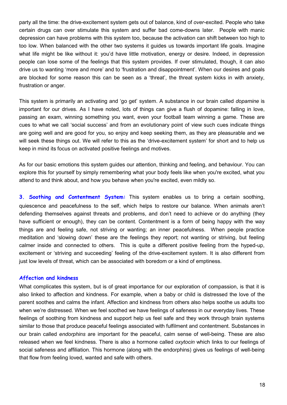party all the time: the drive-excitement system gets out of balance, kind of *over*-excited. People who take certain drugs can over stimulate this system and suffer bad come-downs later. People with manic depression can have problems with this system too, because the activation can shift between too high to too low. When balanced with the other two systems it guides us towards important life goals. Imagine what life might be like without it: you'd have little motivation, energy or desire. Indeed, in depression people can lose some of the feelings that this system provides. If over stimulated, though, it can also drive us to wanting 'more and more' and to 'frustration and disappointment'. When our desires and goals are blocked for some reason this can be seen as a 'threat', the threat system kicks in with anxiety, frustration or anger.

This system is primarily an activating and 'go get' system. A substance in our brain called *dopamine* is important for our drives. As I have noted, lots of things can give a flush of dopamine: falling in love, passing an exam, winning something you want, even your football team winning a game. These are cues to what we call 'social success' and from an evolutionary point of view such cues indicate things are going well and are good for you, so enjoy and keep seeking them, as they are pleasurable and we will seek these things out. We will refer to this as the 'drive-excitement system' for short and to help us keep in mind its focus on activated positive feelings and motives.

As for our basic emotions this system guides our attention, thinking and feeling, and behaviour. You can explore this for yourself by simply remembering what your body feels like when you're excited, what you attend to and think about, and how you behave when you're excited, even mildly so.

**3. Soothing and Contentment System:** This system enables us to bring a certain soothing, quiescence and peacefulness to the self, which helps to restore our balance. When animals aren't defending themselves against threats and problems, and don't need to achieve or do anything (they have sufficient or enough), they can be content. Contentment is a form of being happy with the way things are and feeling safe, not striving or wanting; an inner peacefulness. When people practice meditation and 'slowing down' these are the feelings they report; not wanting or striving, but feeling calmer inside and connected to others. This is quite a different positive feeling from the hyped-up, excitement or 'striving and succeeding' feeling of the drive-excitement system. It is also different from just low levels of threat, which can be associated with boredom or a kind of emptiness.

#### **Affection and kindness**

What complicates this system, but is of great importance for our exploration of compassion, is that it is also linked to affection and kindness. For example, when a baby or child is distressed the love of the parent soothes and calms the infant. Affection and kindness from others also helps soothe us adults too when we're distressed. When we feel soothed we have feelings of safeness in our everyday lives. These feelings of soothing from kindness and support help us feel safe and they work through brain systems similar to those that produce peaceful feelings associated with fulfilment and contentment. Substances in our brain called *endorphins* are important for the peaceful, calm sense of well-being. These are also released when we feel kindness. There is also a hormone called *oxytocin* which links to our feelings of social safeness and affiliation. This hormone (along with the endorphins) gives us feelings of well-being that flow from feeling loved, wanted and safe with others.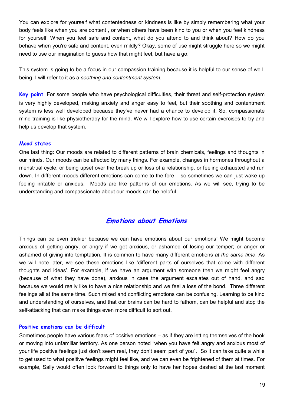You can explore for yourself what contentedness or kindness is like by simply remembering what your body feels like when you are content , or when others have been kind to you or when you feel kindness for yourself. When you feel safe and content, what do you attend to and think about? How do you behave when you're safe and content, even mildly? Okay, some of use might struggle here so we might need to use our imagination to guess how that might feel, but have a go.

This system is going to be a focus in our compassion training because it is helpful to our sense of wellbeing. I will refer to it as a *soothing and contentment system*.

Key point: For some people who have psychological difficulties, their threat and self-protection system is very highly developed, making anxiety and anger easy to feel, but their soothing and contentment system is less well developed because they've never had a chance to develop it. So, compassionate mind training is like physiotherapy for the mind. We will explore how to use certain exercises to try and help us develop that system.

#### **Mood states**

One last thing: Our moods are related to different patterns of brain chemicals, feelings and thoughts in our minds. Our moods can be affected by many things. For example, changes in hormones throughout a menstrual cycle; or being upset over the break up or loss of a relationship, or feeling exhausted and run down. In different moods different emotions can come to the fore – so sometimes we can just wake up feeling irritable or anxious. Moods are like patterns of our emotions. As we will see, trying to be understanding and compassionate about our moods can be helpful.

## **Emotions about Emotions**

Things can be even trickier because we can have emotions about our emotions! We might become anxious of getting angry, or angry if we get anxious, or ashamed of losing our temper; or anger or ashamed of giving into temptation. It is common to have many different emotions *at the same time*. As we will note later, we see these emotions like 'different parts of ourselves that come with different thoughts and ideas'. For example, if we have an argument with someone then we might feel angry (because of what they have done), anxious in case the argument escalates out of hand, and sad because we would really like to have a nice relationship and we feel a loss of the bond. Three different feelings all at the same time. Such mixed and conflicting emotions can be confusing. Learning to be kind and understanding of ourselves, and that our brains can be hard to fathom, can be helpful and stop the self-attacking that can make things even more difficult to sort out.

#### **Positive emotions can be difficult**

Sometimes people have various fears of positive emotions – as if they are letting themselves of the hook or moving into unfamiliar territory. As one person noted "when you have felt angry and anxious most of your life positive feelings just don't seem real, they don't seem part of you". So it can take quite a while to get used to what positive feelings might feel like, and we can even be frightened of them at times. For example, Sally would often look forward to things only to have her hopes dashed at the last moment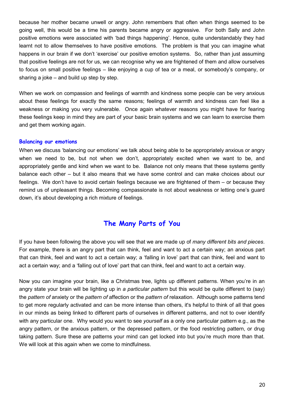because her mother became unwell or angry. John remembers that often when things seemed to be going well, this would be a time his parents became angry or aggressive. For both Sally and John positive emotions were associated with 'bad things happening'. Hence, quite understandably they had learnt not to allow themselves to have positive emotions. The problem is that you can imagine what happens in our brain if we don't 'exercise' our positive emotion systems. So, rather than just assuming that positive feelings are not for us, we can recognise why we are frightened of them and allow ourselves to focus on small positive feelings – like enjoying a cup of tea or a meal, or somebody's company, or sharing a joke – and build up step by step.

When we work on compassion and feelings of warmth and kindness some people can be very anxious about these feelings for exactly the same reasons; feelings of warmth and kindness can feel like a weakness or making you very vulnerable. Once again whatever reasons you might have for fearing these feelings keep in mind they are part of your basic brain systems and we can learn to exercise them and get them working again.

#### **Balancing our emotions**

When we discuss 'balancing our emotions' we talk about being able to be appropriately anxious or angry when we need to be, but not when we don't, appropriately excited when we want to be, and appropriately gentle and kind when we want to be. Balance not only means that these systems gently balance each other – but it also means that we have some control and can make choices about our feelings. We don't have to avoid certain feelings because we are frightened of them – or because they remind us of unpleasant things. Becoming compassionate is not about weakness or letting one's guard down, it's about developing a rich mixture of feelings.

## **The Many Parts of You**

If you have been following the above you will see that we are made up of *many different bits and pieces*. For example, there is an angry part that can think, feel and want to act a certain way; an anxious part that can think, feel and want to act a certain way; a 'falling in love' part that can think, feel and want to act a certain way; and a 'falling out of love' part that can think, feel and want to act a certain way.

Now you can imagine your brain, like a Christmas tree, lights up different patterns. When you're in an angry state your brain will be lighting up in *a particular pattern* but this would be quite different to (say) the *pattern of* anxiety or the *pattern of* affection or the *pattern of* relaxation. Although some patterns tend to get more regularly activated and can be more intense than others, it's helpful to think of all that goes in our minds as being linked to different parts of ourselves in different patterns, and not to over identify with any particular one. Why would you want to see *yourself* as a only one particular pattern e.g., as the angry pattern, or the anxious pattern, or the depressed pattern, or the food restricting pattern, or drug taking pattern. Sure these are patterns your mind can get locked into but you're much more than that. We will look at this again when we come to mindfulness.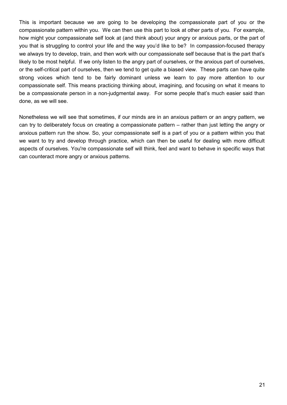This is important because we are going to be developing the compassionate part of you or the compassionate pattern within you. We can then use this part to look at other parts of you. For example, how might your compassionate self look at (and think about) your angry or anxious parts, or the part of you that is struggling to control your life and the way you'd like to be? In compassion-focused therapy we always try to develop, train, and then work with our compassionate self because that is the part that's likely to be most helpful. If we only listen to the angry part of ourselves, or the anxious part of ourselves, or the self-critical part of ourselves, then we tend to get quite a biased view. These parts can have quite strong voices which tend to be fairly dominant unless we learn to pay more attention to our compassionate self. This means practicing thinking about, imagining, and focusing on what it means to be a compassionate person in a non-judgmental away. For some people that's much easier said than done, as we will see.

Nonetheless we will see that sometimes, if our minds are in an anxious pattern or an angry pattern, we can try to deliberately focus on creating a compassionate pattern – rather than just letting the angry or anxious pattern run the show. So, your compassionate self is a part of you or a pattern within you that we want to try and develop through practice, which can then be useful for dealing with more difficult aspects of ourselves. You're compassionate self will think, feel and want to behave in specific ways that can counteract more angry or anxious patterns.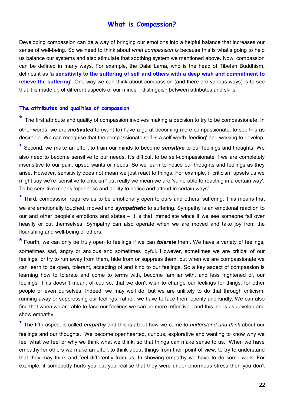## **What is Compassion?**

Developing compassion can be a way of bringing our emotions into a helpful balance that increases our sense of well-being. So we need to think about *what compassion is* because this is what's going to help us balance our systems and also stimulate that soothing system we mentioned above. Now, compassion can be defined in many ways. For example, the Dalai Lama, who is the head of Tibetan Buddhism, defines it as '**a sensitivity to the suffering of self and others with a deep wish and commitment to relieve the suffering**'. One way we can think about compassion (and there are various ways) is to see that it is made up of different aspects of our minds. I distinguish between attributes and skills.

#### **The attributes and qualities of compassion**

\* The first attribute and quality of compassion involves making a decision to try to be compassionate. In other words, we are *motivated* to (want to) have a go at becoming more compassionate, to see this as desirable. We can recognise that the compassionate self is a self worth 'feeding' and working to develop.

**\*** Second, we make an effort to train our minds to become *sensitive* to our feelings and thoughts. We also need to become sensitive to our needs. It's difficult to be self-compassionate if we are completely insensitive to our pain, upset, wants or needs. So we learn to notice our thoughts and feelings as they arise. However, sensitivity does not mean we just react to things. For example, if criticism upsets us we might say we're 'sensitive to criticism' but really we mean we are 'vulnerable to reacting in a certain way'. To be sensitive means 'openness and ability to notice and attend in certain ways'.

**\*** Third, compassion requires us to be emotionally open to ours and others' suffering. This means that we are emotionally touched, moved and *sympathetic* to suffering. Sympathy is an emotional reaction to our and other people's emotions and states – it is that immediate wince if we see someone fall over heavily or cut themselves. Sympathy can also operate when we are moved and take joy from the flourishing and well-being of others.

**\*** Fourth, we can only be truly open to feelings if we can *tolerate* them. We have a variety of feelings, sometimes sad, angry or anxious and sometimes joyful. However, sometimes we are critical of our feelings, or try to run away from them, hide from or suppress them, but when we are compassionate we can learn to be open, tolerant, accepting of and kind to our feelings. So a key aspect of compassion is learning how to tolerate and come to terms with, become familiar with, and less frightened of, our feelings. This doesn't mean, of course, that we don't wish to change our feelings for things, for other people or even ourselves. Indeed, we may well do, but we are unlikely to do that through criticism, running away or suppressing our feelings; rather, we have to face them openly and kindly. We can also find that when we are able to face our feelings we can be more reflective - and this helps us develop and show empathy.

**\*** The fifth aspect is called *empathy* and this is about how we come to *understand and think* about our feelings and our thoughts. We become openhearted, curious, explorative and wanting to know why we feel what we feel or why we think what we think, so that things can make sense to us. When we have empathy for others we make an effort to think about things from their point of view, to try to understand that they may think and feel differently from us. In showing empathy we have to do some work. For example, if somebody hurts you but you realise that they were under enormous stress then you don't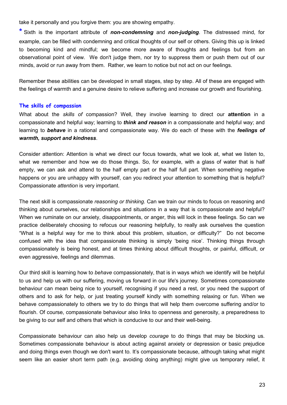take it personally and you forgive them: you are showing empathy.

**\*** Sixth is the important attribute of *non-condemning* and *non-judging*. The distressed mind, for example, can be filled with condemning and critical thoughts of our self or others. Giving this up is linked to becoming kind and mindful; we become more aware of thoughts and feelings but from an observational point of view. We don't judge them, nor try to suppress them or push them out of our minds, avoid or run away from them. Rather, we learn to notice but not act on our feelings.

Remember these abilities can be developed in small stages, step by step. All of these are engaged with the feelings of warmth and a genuine desire to relieve suffering and increase our growth and flourishing.

#### **The skills of compassion**

What about the *skills of* compassion? Well, they involve learning to direct our **attention** in a compassionate and helpful way; learning to *think and reason* in a compassionate and helpful way; and learning to *behave* in a rational and compassionate way. We do each of these with the *feelings of warmth, support and kindness*.

Consider attention: Attention is what we direct our focus towards, what we look at, what we listen to, what we remember and how we do those things. So, for example, with a glass of water that is half empty, we can ask and attend to the half empty part or the half full part. When something negative happens or you are unhappy with yourself, can you redirect your attention to something that is helpful? Compassionate *attention* is very important.

The next skill is compassionate *reasoning or thinking*. Can we train our minds to focus on reasoning and thinking about ourselves, our relationships and situations in a way that is compassionate and helpful? When we ruminate on our anxiety, disappointments, or anger, this will lock in these feelings. So can we practice deliberately choosing to refocus our reasoning helpfully, to really ask ourselves the question "What is a helpful way for me to think about this problem, situation, or difficulty?" Do not become confused with the idea that compassionate thinking is simply 'being nice'. Thinking things through compassionately is being honest, and at times thinking about difficult thoughts, or painful, difficult, or even aggressive, feelings and dilemmas.

Our third skill is learning how to *behave* compassionately, that is in ways which we identify will be helpful to us and help us with our suffering, moving us forward in our life's journey. Sometimes compassionate behaviour can mean being nice to yourself, recognising if you need a rest, or you need the support of others and to ask for help, or just treating yourself kindly with something relaxing or fun. When we behave compassionately to others we try to do things that will help them overcome suffering and/or to flourish. Of course, compassionate behaviour also links to openness and generosity, a preparedness to be giving to our self and others that which is conducive to our and their well-being.

Compassionate behaviour can also help us develop *courage* to do things that may be blocking us. Sometimes compassionate behaviour is about acting against anxiety or depression or basic prejudice and doing things even though we don't want to. It's compassionate because, although taking what might seem like an easier short term path (e.g. avoiding doing anything) might give us temporary relief, it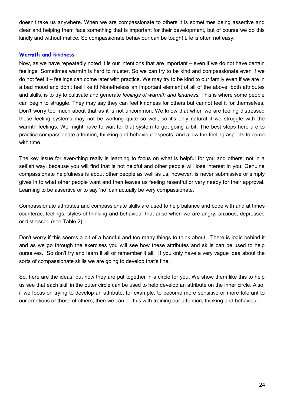doesn't take us anywhere. When we are compassionate to others it is sometimes being assertive and clear and helping them face something that is important for their development, but of course we do this kindly and without malice. So compassionate behaviour can be tough! Life is often not easy.

#### **Warmth and kindness**

Now, as we have repeatedly noted it is our intentions that are important – even if we do not have certain feelings. Sometimes warmth is hard to muster. So we can try to be kind and compassionate even if we do not feel it – feelings can come later with practice. We may try to be kind to our family even if we are in a bad mood and don't feel like it! Nonetheless an important element of all of the above, both attributes and skills, is to try to cultivate and generate *feelings of warmth and kindness.* This is where some people can begin to struggle. They may say they can feel kindness for others but cannot feel it for themselves. Don't worry too much about that as it is not uncommon. We know that when we are feeling distressed those feeling systems may not be working quite so well, so it's only natural if we struggle with the warmth feelings. We might have to wait for that system to get going a bit. The best steps here are to practice compassionate attention, thinking and behaviour aspects, and allow the feeling aspects to come with time.

The key issue for everything really is learning to focus on what is helpful for you and others; not in a selfish way, because you will find that is not helpful and other people will lose interest in you. Genuine compassionate helpfulness is about other people as well as us, however, is never submissive or simply gives in to what other people want and then leaves us feeling resentful or very needy for their approval. Learning to be assertive or to say 'no' can actually be very compassionate.

Compassionate attributes and compassionate skills are used to help balance and cope with and at times counteract feelings, styles of thinking and behaviour that arise when we are angry, anxious, depressed or distressed (see Table 2).

Don't worry if this seems a bit of a handful and too many things to think about. There is logic behind it and as we go through the exercises you will see how these attributes and skills can be used to help ourselves. So don't try and learn it all or remember it all. If you only have a very vague idea about the sorts of compassionate skills we are going to develop that's fine.

So, here are the ideas, but now they are put together in a circle for you. We show them like this to help us see that each skill in the outer circle can be used to help develop an attribute on the inner circle. Also, if we focus on trying to develop an attribute, for example, to become more sensitive or more tolerant to our emotions or those of others, then we can do this with training our attention, thinking and behaviour**.**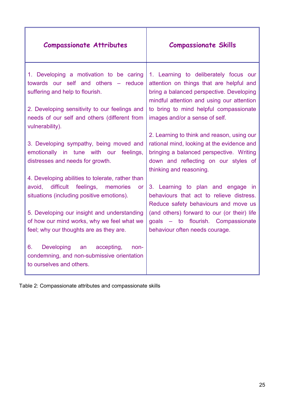| <b>Compassionate Attributes</b>                                                                                                                      | <b>Compassionate Skills</b>                                                                                                                                                                             |
|------------------------------------------------------------------------------------------------------------------------------------------------------|---------------------------------------------------------------------------------------------------------------------------------------------------------------------------------------------------------|
| 1. Developing a motivation to be caring<br>towards our self and others - reduce<br>suffering and help to flourish.                                   | 1. Learning to deliberately focus our<br>attention on things that are helpful and<br>bring a balanced perspective. Developing<br>mindful attention and using our attention                              |
| 2. Developing sensitivity to our feelings and<br>needs of our self and others (different from<br>vulnerability).                                     | to bring to mind helpful compassionate<br>images and/or a sense of self.                                                                                                                                |
| 3. Developing sympathy, being moved and<br>emotionally in tune with our feelings,<br>distresses and needs for growth.                                | 2. Learning to think and reason, using our<br>rational mind, looking at the evidence and<br>bringing a balanced perspective. Writing<br>down and reflecting on our styles of<br>thinking and reasoning. |
| 4. Developing abilities to tolerate, rather than<br>avoid,<br>difficult feelings, memories<br><b>or</b><br>situations (including positive emotions). | 3. Learning to plan and engage in<br>behaviours that act to relieve distress.<br>Reduce safety behaviours and move us                                                                                   |
| 5. Developing our insight and understanding<br>of how our mind works, why we feel what we<br>feel; why our thoughts are as they are.                 | (and others) forward to our (or their) life<br>goals – to flourish. Compassionate<br>behaviour often needs courage.                                                                                     |
| 6.<br>Developing an<br>accepting,<br>non-<br>condemning, and non-submissive orientation<br>to ourselves and others.                                  |                                                                                                                                                                                                         |

Table 2: Compassionate attributes and compassionate skills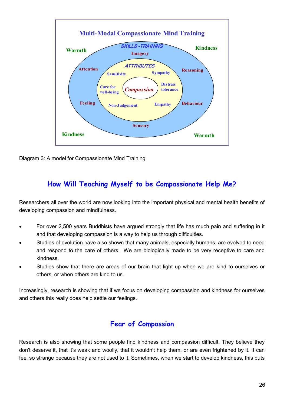

Diagram 3: A model for Compassionate Mind Training

## **How Will Teaching Myself to be Compassionate Help Me?**

Researchers all over the world are now looking into the important physical and mental health benefits of developing compassion and mindfulness.

- For over 2,500 years Buddhists have argued strongly that life has much pain and suffering in it and that developing compassion is a way to help us through difficulties.
- Studies of evolution have also shown that many animals, especially humans, are evolved to need and respond to the care of others. We are biologically made to be very receptive to care and kindness.
- Studies show that there are areas of our brain that light up when we are kind to ourselves or others, or when others are kind to us.

Increasingly, research is showing that if we focus on developing compassion and kindness for ourselves and others this really does help settle our feelings.

## **Fear of Compassion**

Research is also showing that some people find kindness and compassion difficult. They believe they don't deserve it, that it's weak and woolly, that it wouldn't help them, or are even frightened by it. It can feel so strange because they are not used to it. Sometimes, when we start to develop kindness, this puts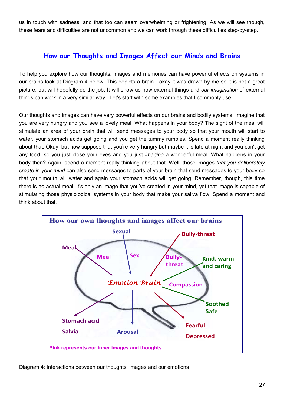us in touch with sadness, and that too can seem overwhelming or frightening. As we will see though, these fears and difficulties are not uncommon and we can work through these difficulties step-by-step.

## **How our Thoughts and Images Affect our Minds and Brains**

To help you explore how our thoughts, images and memories can have powerful effects on systems in our brains look at Diagram 4 below. This depicts a brain - okay it was drawn by me so it is not a great picture, but will hopefully do the job. It will show us how external things and *our imagination* of external things can work in a very similar way. Let's start with some examples that I commonly use.

Our thoughts and images can have very powerful effects on our brains and bodily systems. Imagine that you are very hungry and you see a lovely meal. What happens in your body? The sight of the meal will stimulate an area of your brain that will send messages to your body so that your mouth will start to water, your stomach acids get going and you get the tummy rumbles. Spend a moment really thinking about that. Okay, but now suppose that you're very hungry but maybe it is late at night and you can't get any food, so you just close your eyes and you just *imagine* a wonderful meal. What happens in your body then? Again, spend a moment really thinking about that. Well, those images *that you deliberately create in your mind* can also send messages to parts of your brain that send messages to your body so that your mouth will water and again your stomach acids will get going. Remember, though, this time there is no actual meal, it's only an image that you've created in your mind, yet that image is capable of stimulating those physiological systems in your body that make your saliva flow. Spend a moment and think about that.



Diagram 4: Interactions between our thoughts, images and our emotions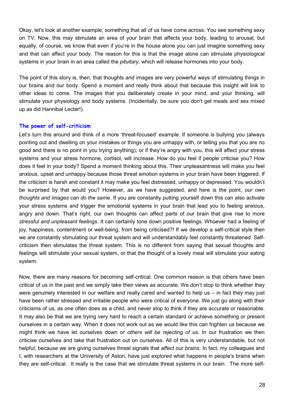Okay, let's look at another example, something that all of us have come across: You see something sexy on TV. Now, this may stimulate an area of your brain that affects your body, leading to arousal, but equally, of course, we know that even if you're in the house alone you can just imagine something sexy and that can affect your body. The reason for this is that the image alone can stimulate physiological systems in your brain in an area called the *pituitary*, which will release hormones into your body.

The point of this story is, then, that thoughts and images are very powerful ways of stimulating things in our brains and our body. Spend a moment and really think about that because this insight will link to other ideas to come. The images that you deliberately create in your mind, and your thinking, will stimulate your physiology and body systems. (Incidentally, be sure you don't get meals and sex mixed up as did Hannibal Lecter!).

#### **The power of self-criticism**

Let's turn this around and think of a more 'threat-focused' example. If someone is bullying you (always pointing out and dwelling on your mistakes or things you are unhappy with, or telling you that you are no good and there is no point in you trying anything), or if they're angry with you, this will affect your stress systems and your stress hormone, cortisol, will increase. How do you feel if people criticise you? How does it feel in your body? Spend a moment thinking about this. Their unpleasantness will make you feel anxious, upset and unhappy because those threat emotion systems in your brain have been triggered. If the criticism is harsh and constant it may make you feel distressed, unhappy or depressed. You wouldn't be surprised by that would you? However, as we have suggested, and here is the point, *our own thoughts and images can do the same*. If you are constantly putting yourself down this can also activate your stress systems and trigger the emotional systems in your brain that lead you to feeling anxious, angry and down. That's right, our own thoughts can affect parts of our brain that give rise to more *stressful and unpleasant feelings*. It can certainly tone down positive feelings. Whoever had a feeling of joy, happiness, contentment or well-being, from being criticised?! If we develop a self-critical style then we are constantly stimulating our threat system and will understandably feel constantly threatened. Selfcriticism then stimulates the threat system. This is no different from saying that sexual thoughts and feelings will stimulate your sexual system, or that the thought of a lovely meal will stimulate your eating system.

Now, there are many reasons for becoming self-critical. One common reason is that others have been critical of us in the past and we simply take their views as accurate. We don't stop to think whether they were genuinely interested in our welfare and really cared and wanted to help us – in fact they may just have been rather stressed and irritable people who were critical of everyone. We just go along with their criticisms of us, as one often does as a child, and never stop to think if they are accurate or reasonable. It may also be that we are trying very hard to reach a certain standard or achieve something or present ourselves in a certain way. When it does not work out as we would like this can frighten us because we might think we have let ourselves down or *others will be rejecting of us*. In our frustration we then criticise ourselves and take that frustration out on ourselves. All of this is very understandable, but not helpful, because we are giving ourselves threat signals that *affect our brains.* In fact, my colleagues and I, with researchers at the University of Aston, have just explored what happens in people's brains when they are self-critical. It really is the case that we stimulate threat systems in our brain. The more self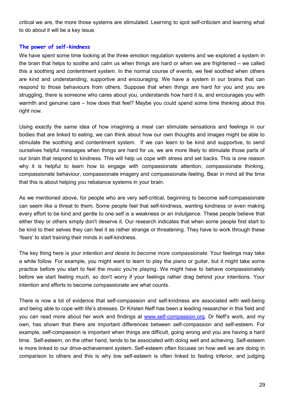critical we are, the more those systems are stimulated. Learning to spot self-criticism and learning what to do about it will be a key issue.

#### **The power of self-kindness**

We have spent some time looking at the three emotion requlation systems and we explored a system in the brain that helps to soothe and calm us when things are hard or when we are frightened – we called this a soothing and contentment system. In the normal course of events, we feel soothed when others are kind and understanding, supportive and encouraging. We have a system in our brains that can respond to those behaviours from others. Suppose that when things are hard for you and you are struggling, there is someone who cares about you, understands how hard it is, and encourages you with warmth and genuine care – how does that feel? Maybe you could spend some time thinking about this right now.

Using exactly the same idea of how imagining a meal can stimulate sensations and feelings in our bodies that are linked to eating, we can think about how our own thoughts and images might be able to stimulate the soothing and contentment system. If we can learn to be kind and supportive, to send ourselves helpful messages when things are hard for us, we are more likely to stimulate those parts of our brain that respond to kindness. This will help us cope with stress and set backs. This is one reason why it is helpful to learn how to engage with compassionate attention, compassionate thinking, compassionate behaviour, compassionate imagery and compassionate feeling. Bear in mind all the time that this is about helping you rebalance systems in your brain.

As we mentioned above, for people who are very self-critical, beginning to become self-compassionate can seem like a threat to them. Some people feel that self-kindness, wanting kindness or even making every effort to be kind and gentle to one self is a weakness or an indulgence. These people believe that either they or others simply don't deserve it. Our research indicates that when some people first start to be kind to their selves they can feel it as rather strange or threatening. They have to work through these 'fears' to start training their minds in self-kindness.

The key thing here is your *intention and desire to become more compassionate*. Your feelings may take a while follow. For example, you might want to learn to play the piano or guitar, but it might take some practice before you start to feel the music you're playing. We might have to behave compassionately before we start feeling much, so don't worry if your feelings rather drag behind your intentions. Your intention and efforts to become compassionate are what counts.

There is now a lot of evidence that self-compassion and self-kindness are associated with well-being and being able to cope with life's stresses. Dr Kristen Neff has been a leading researcher in this field and you can read more about her work and findings at www.self-compassion.org. Dr Neff's work, and my own, has shown that there are important differences between self-compassion and self-esteem. For example, self-compassion is important when things are difficult, going wrong and you are having a hard time. Self-esteem, on the other hand, tends to be associated with doing well and achieving. Self-esteem is more linked to our drive-achievement system. Self-esteem often focuses on how well we are doing in comparison to others and this is why low self-esteem is often linked to feeling inferior, and judging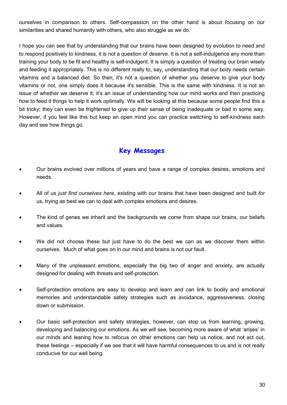ourselves in comparison to others. Self-compassion on the other hand is about focusing on our similarities and shared humanity with others, who also struggle as we do.

I hope you can see that by understanding that our brains have been designed by evolution to need and to respond positively to kindness, it is not a question of *deserve*. It is not a self-indulgence any more than training your body to be fit and healthy is self-indulgent. It is simply a question of treating our brain wisely and feeding it appropriately. This is no different really to, say, understanding that our body needs certain vitamins and a balanced diet. So then, it's not a question of whether you deserve to give your body vitamins or not, one simply does it because it's sensible. This is the same with kindness. It is not an issue of whether we deserve it; it's an issue of understanding how our mind works and then practicing how to feed it things to help it work optimally. We will be looking at this because some people find this a bit tricky; they can even be frightened to give up their sense of being inadequate or bad in some way. However, if you feel like this but keep an open mind you can practice switching to self-kindness each day and see how things go.

## **Key Messages**

- Our brains evolved over millions of years and have a range of complex desires, emotions and needs.
- All of us *just find ourselves here*, existing with our brains that have been designed and built *for*  us, trying as best we can to deal with complex emotions and desires.
- The kind of genes we inherit and the backgrounds we come from shape our brains, our beliefs and values.
- We did not choose these but just have to do the best we can as we discover them within ourselves. Much of what goes on in our mind and brains is not our fault.
- Many of the unpleasant emotions, especially the big two of anger and anxiety, are actually designed for dealing with threats and self-protection.
- Self-protection emotions are easy to develop and learn and can link to bodily and emotional memories and understandable safety strategies such as avoidance, aggressiveness, closing down or submission.
- Our basic self-protection and safety strategies, however, can stop us from learning, growing, developing and balancing our emotions. As we will see, becoming more aware of what 'arises' in our minds and leaning how to refocus on other emotions can help us notice, and not act out, these feelings – especially if we see that it will have harmful consequences to us and is not really conducive for our well being.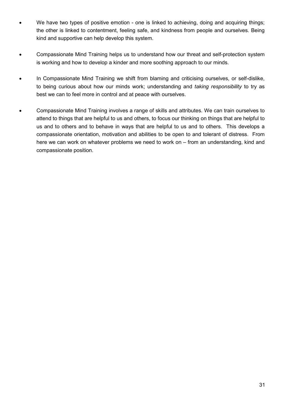- We have two types of positive emotion one is linked to achieving, doing and acquiring things; the other is linked to contentment, feeling safe, and kindness from people and ourselves. Being kind and supportive can help develop this system.
- Compassionate Mind Training helps us to understand how our threat and self-protection system is working and how to develop a kinder and more soothing approach to our minds.
- In Compassionate Mind Training we shift from blaming and criticising ourselves, or self-dislike, to being curious about how our minds work; understanding and *taking responsibility* to try as best we can to feel more in control and at peace with ourselves.
- Compassionate Mind Training involves a range of skills and attributes. We can train ourselves to attend to things that are helpful to us and others, to focus our thinking on things that are helpful to us and to others and to behave in ways that are helpful to us and to others. This develops a compassionate orientation, motivation and abilities to be open to and tolerant of distress. From here we can work on whatever problems we need to work on – from an understanding, kind and compassionate position.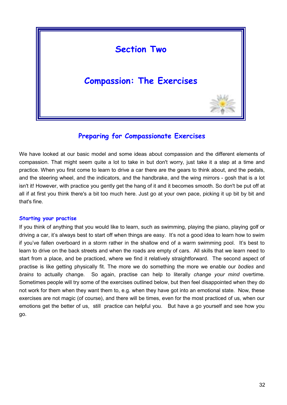

## **Preparing for Compassionate Exercises**

We have looked at our basic model and some ideas about compassion and the different elements of compassion. That might seem quite a lot to take in but don't worry, just take it a step at a time and practice. When you first come to learn to drive a car there are the gears to think about, and the pedals, and the steering wheel, and the indicators, and the handbrake, and the wing mirrors - gosh that is a lot isn't it! However, with practice you gently get the hang of it and it becomes smooth. So don't be put off at all if at first you think there's a bit too much here. Just go at your own pace, picking it up bit by bit and that's fine.

#### **Starting your practise**

If you think of anything that you would like to learn, such as swimming, playing the piano, playing golf or driving a car, it's always best to start off when things are easy. It's not a good idea to learn how to swim if you've fallen overboard in a storm rather in the shallow end of a warm swimming pool. It's best to learn to drive on the back streets and when the roads are empty of cars. All skills that we learn need to start from a place, and be practiced, where we find it relatively straightforward. The second aspect of practise is like getting physically fit. The more we do something the more we enable our *bodies* and *brains* to actually change. So again, practise can help to literally *change your mind* overtime. Sometimes people will try some of the exercises outlined below, but then feel disappointed when they do not work for them when they want them to, e.g. when they have got into an emotional state. Now, these exercises are not magic (of course), and there will be times, even for the most practiced of us, when our emotions get the better of us, still practice can helpful you. But have a go yourself and see how you go.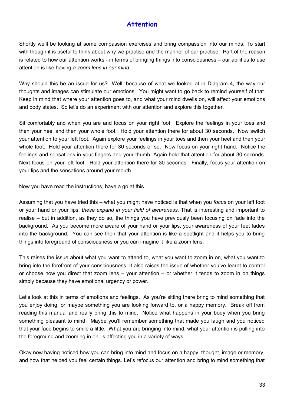## **Attention**

Shortly we'll be looking at some compassion exercises and bring compassion into our minds. To start with though it is useful to think about why we practise and the manner of our practise. Part of the reason is related to how our attention works - in terms of bringing things into consciousness – our abilities to use attention is like having *a zoom lens in our mind*.

Why should this be an issue for us? Well, because of what we looked at in Diagram 4, the way our thoughts and images can stimulate our emotions. You might want to go back to remind yourself of that. Keep in mind that where your attention goes to, and what your mind dwells on, will affect your emotions and body states. So let's do an experiment with our attention and explore this together.

Sit comfortably and when you are and focus on your right foot. Explore the feelings in your toes and then your heel and then your whole foot. Hold your attention there for about 30 seconds. Now switch your attention to your left foot. Again explore your feelings in your toes and then your heel and then your whole foot. Hold your attention there for 30 seconds or so. Now focus on your right hand. Notice the feelings and sensations in your fingers and your thumb. Again hold that attention for about 30 seconds. Next focus on your left foot. Hold your attention there for 30 seconds. Finally, focus your attention on your lips and the sensations around your mouth.

Now you have read the instructions, have a go at this.

Assuming that you have tried this – what you might have noticed is that when you *focus* on your left foot or your hand or your lips, *these expand in your field of awareness.* That is interesting and important to realise – but in addition, as they do so, the things you have previously been focusing on fade into the background. As you become more aware of your hand or your lips, your awareness of your feet fades into the background. You can see then that your attention is like a spotlight and it helps you to bring things into foreground of consciousness or you can imagine it like a zoom lens.

This raises the issue about what you want to attend to, what you want to zoom in on, what you want to bring into the forefront of your consciousness. It also raises the issue of whether you've learnt to control or choose how you direct that zoom lens – your attention – or whether it tends to zoom in on things simply because they have emotional urgency or power.

Let's look at this in terms of emotions and feelings. As you're sitting there bring to mind something that you enjoy doing, or maybe something you are looking forward to, or a happy memory. Break off from reading this manual and really bring this to mind. Notice what happens in your body when you bring something pleasant to mind. Maybe you'll remember something that made you laugh and you noticed that your face begins to smile a little. What you are bringing into mind, what your attention is pulling into the foreground and zooming in on, is affecting you in a variety of ways.

Okay now having noticed how you can bring into mind and focus on a happy, thought, image or memory, and how that helped you feel certain things. Let's refocus our attention and bring to mind something that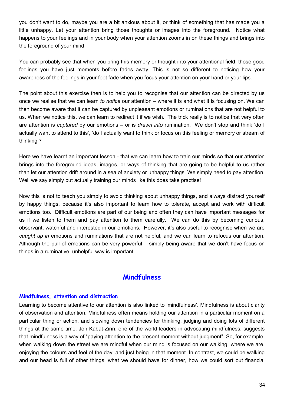you don't want to do, maybe you are a bit anxious about it, or think of something that has made you a little unhappy. Let your attention bring those thoughts or images into the foreground. Notice what happens to your feelings and in your body when your attention zooms in on these things and brings into the foreground of your mind.

You can probably see that when you bring this memory or thought into your attentional field, those good feelings you have just moments before fades away. This is not so different to noticing how your awareness of the feelings in your foot fade when you focus your attention on your hand or your lips.

The point about this exercise then is to help you to recognise that our attention can be directed by us once we realise that we can learn *to notice* our attention – where it is and what it is focusing on. We can then become aware that it can be captured by unpleasant emotions or ruminations that are not helpful to us. When we notice this, we can learn to redirect it if we wish. The trick really is to notice that very often are attention is *captured* by our emotions – or is *drawn into* rumination. We don't stop and think 'do I actually want to attend to this', 'do I actually want to think or focus on this feeling or memory or stream of thinking'?

Here we have learnt an important lesson - that we can learn how to train our minds so that our attention brings into the foreground ideas, images, or ways of thinking that are going to be helpful to us rather than let our attention drift around in a sea of anxiety or unhappy things. We simply need to pay attention. Well we say simply but actually training our minds like this does take practise!

Now this is not to teach you simply to avoid thinking about unhappy things, and always distract yourself by happy things, because it's also important to learn how to tolerate, accept and work with difficult emotions too. Difficult emotions are part of our being and often they can have important messages for us if we listen to them and pay attention to them carefully. We can do this by becoming curious, observant, watchful and interested in our emotions. However, it's also useful to recognise when we are *caught up in* emotions and ruminations that are not helpful, and we can learn to refocus our attention. Although the pull of emotions can be very powerful – simply being aware that we don't have focus on things in a ruminative, unhelpful way is important.

## **Mindfulness**

#### **Mindfulness, attention and distraction**

Learning to become attentive to our attention is also linked to 'mindfulness'. Mindfulness is about clarity of observation and attention. Mindfulness often means holding our attention in a particular moment on a particular thing or action, and slowing down tendencies for thinking, judging and doing lots of different things at the same time. Jon Kabat-Zinn, one of the world leaders in advocating mindfulness, suggests that mindfulness is a way of "paying attention to the present moment without judgment". So, for example, when walking down the street we are mindful when our mind is focused on our walking, where we are, enjoying the colours and feel of the day, and just being in that moment. In contrast, we could be walking and our head is full of other things, what we should have for dinner, how we could sort out financial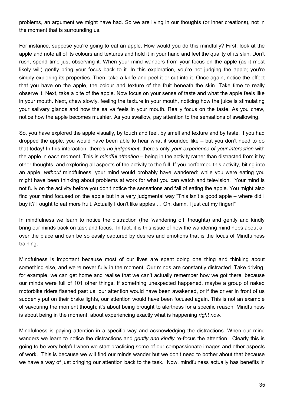problems, an argument we might have had. So we are living in our thoughts (or inner creations), not in the moment that is surrounding us.

For instance, suppose you're going to eat an apple. How would you do this mindfully? First, look at the apple and note all of its colours and textures and hold it in your hand and feel the quality of its skin. Don't rush, spend time just observing it. When your mind wanders from your focus on the apple (as it most likely will) gently bring your focus back to it. In this exploration, you're not judging the apple; you're simply exploring its properties. Then, take a knife and peel it or cut into it. Once again, notice the effect that you have on the apple, the colour and texture of the fruit beneath the skin. Take time to really observe it. Next, take a bite of the apple. Now focus on your sense of taste and what the apple feels like in your mouth. Next, chew slowly, feeling the texture in your mouth, noticing how the juice is stimulating your salivary glands and how the saliva feels in your mouth. Really focus on the taste. As you chew, notice how the apple becomes mushier. As you swallow, pay attention to the sensations of swallowing.

So, you have explored the apple visually, by touch and feel, by smell and texture and by taste. If you had dropped the apple, you would have been able to hear what it sounded like – but you don't need to do that today! In this interaction, there's *no judgement*; there's only *your experience of your interaction* with the apple in each moment. This is *mindful attention* – being in the activity rather than distracted from it by other thoughts, and exploring all aspects of the activity to the full. If you performed this activity, biting into an apple, *without* mindfulness, your mind would probably have wandered: while you were eating you might have been thinking about problems at work for what you can watch and television. Your mind is not fully on the activity before you don't notice the sensations and fall of eating the apple. You might also find your mind focused on the apple but in a very judgmental way "This isn't a good apple – where did I buy it? I ought to eat more fruit. Actually I don't like apples ... Oh, damn, I just cut my finger!"

In mindfulness we learn to notice the distraction (the 'wandering off' thoughts) and gently and kindly bring our minds back on task and focus. In fact, it is this issue of how the wandering mind hops about all over the place and can be so easily captured by desires and emotions that is the focus of Mindfulness training.

Mindfulness is important because most of our lives are spent doing one thing and thinking about something else, and we're never fully in the moment. Our minds are constantly distracted. Take driving, for example, we can get home and realise that we can't actually remember how we got there, because our minds were full of 101 other things. If something unexpected happened, maybe a group of naked motorbike riders flashed past us, our attention would have been awakened, or if the driver in front of us suddenly put on their brake lights, our attention would have been focused again. This is not an example of savouring the moment though; it's about being brought to alertness for a specific reason. Mindfulness is about being in the moment, about experiencing exactly what is happening *right now*.

Mindfulness is paying attention in a specific way and acknowledging the distractions. When our mind wanders we learn to notice the distractions and *gently and kindly* re-focus the attention. Clearly this is going to be very helpful when we start practicing some of our compassionate images and other aspects of work. This is because we will find our minds wander but we don't need to bother about that because we have a way of just bringing our attention back to the task. Now, mindfulness actually has benefits in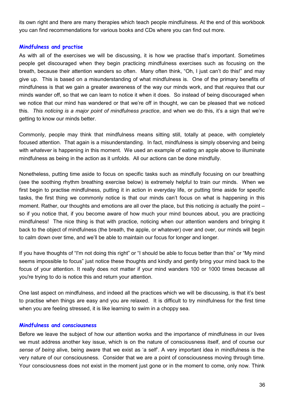its own right and there are many therapies which teach people mindfulness. At the end of this workbook you can find recommendations for various books and CDs where you can find out more.

#### **Mindfulness and practise**

As with all of the exercises we will be discussing, it is how we practise that's important. Sometimes people get discouraged when they begin practicing mindfulness exercises such as focusing on the breath, because their attention wanders so often. Many often think, "Oh, I just can't do this!" and may give up. This is based on a misunderstanding of what mindfulness is. One of the primary benefits of mindfulness is that we gain a greater awareness of the way our minds work, and that *requires* that our minds wander off, so that we can learn to notice it when it does. So instead of being discouraged when we notice that our mind has wandered or that we're off in thought, we can be pleased that we noticed this*. This noticing is a major point of mindfulness practice*, and when we do this, it's a sign that we're getting to know our minds better.

Commonly, people may think that mindfulness means sitting still, totally at peace, with completely focused attention. That again is a misunderstanding. In fact, mindfulness is simply observing and being with *whatever* is happening in this moment. We used an example of eating an apple above to illuminate mindfulness as being in the action as it unfolds. All our actions can be done mindfully.

Nonetheless, putting time aside to focus on specific tasks such as mindfully focusing on our breathing (see the soothing rhythm breathing exercise below) is extremely helpful to train our minds. When we first begin to practise mindfulness, putting it in action in everyday life, or putting time aside for specific tasks, the first thing we commonly notice is that our minds can't focus on what is happening in this moment. Rather, our thoughts and emotions are all over the place, but this noticing *is* actually the point – so if you notice that, if you become aware of how much your mind bounces about, you are practicing mindfulness! The nice thing is that with practice, noticing when our attention wanders and bringing it back to the object of mindfulness (the breath, the apple, or whatever) over and over, our minds will begin to calm down over time, and we'll be able to maintain our focus for longer and longer.

If you have thoughts of "I'm not doing this right" or "I should be able to focus better than this" or "My mind seems impossible to focus" just notice these thoughts and kindly and gently bring your mind back to the focus of your attention. It really does not matter if your mind wanders 100 or 1000 times because all you're trying to do is notice this and return your attention.

One last aspect on mindfulness, and indeed all the practices which we will be discussing, is that it's best to practise when things are easy and you are relaxed. It is difficult to try mindfulness for the first time when you are feeling stressed, it is like learning to swim in a choppy sea.

#### **Mindfulness and consciousness**

Before we leave the subject of how our attention works and the importance of mindfulness in our lives we must address another key issue, which is on the nature of consciousness itself, and of course our *sense of being* alive, being aware that we exist as 'a self'. A very important idea in mindfulness is the very nature of our consciousness. Consider that we are a point of consciousness moving through time. Your consciousness does not exist in the moment just gone or in the moment to come, only now. Think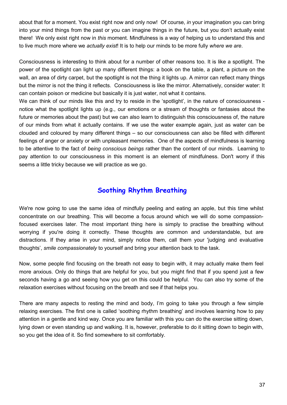about that for a moment. You exist right now and only now! Of course, *in* your imagination you can bring into your mind things from the past or you can imagine things in the future, but you don't actually exist there! We only exist right now in *this* moment. Mindfulness is a way of helping us to understand this and to live much more where we *actually exist*! It is to help our minds to be more fully *where we are*.

Consciousness is interesting to think about for a number of other reasons too. It is like a spotlight. The power of the spotlight can light up many different things: a book on the table, a plant, a picture on the wall, an area of dirty carpet, but the spotlight is not the thing it lights up. A mirror can reflect many things but the mirror is not the thing it reflects. Consciousness is like the mirror. Alternatively, consider water: It can contain poison or medicine but basically it is just water, not what it contains.

We can think of our minds like this and try to reside in the 'spotlight', in the nature of consciousness notice what the spotlight lights up (e.g., our emotions or a stream of thoughts or fantasies about the future or memories about the past) but we can also learn to distinguish this consciousness of, the nature of our minds from what it actually contains. If we use the water example again, just as water can be clouded and coloured by many different things – so our consciousness can also be filled with different feelings of anger or anxiety or with unpleasant memories. One of the aspects of mindfulness is learning to be attentive to the fact of *being conscious beings* rather than the content of our minds. Learning to pay attention to our consciousness in this moment is an element of mindfulness. Don't worry if this seems a little tricky because we will practice as we go.

# **Soothing Rhythm Breathing**

We're now going to use the same idea of mindfully peeling and eating an apple, but this time whilst concentrate on our breathing. This will become a focus around which we will do some compassionfocused exercises later. The most important thing here is simply to practise the breathing without worrying if you're doing it correctly. These thoughts are common and understandable, but are distractions. If they arise in your mind, simply notice them, call them your 'judging and evaluative thoughts', *smile compassionately* to yourself and bring your attention back to the task.

Now, some people find focusing on the breath not easy to begin with, it may actually make them feel more anxious. Only do things that are helpful for you, but you might find that if you spend just a few seconds having a go and seeing how you get on this could be helpful. You can also try some of the relaxation exercises without focusing on the breath and see if that helps you.

There are many aspects to resting the mind and body, I'm going to take you through a few simple relaxing exercises. The first one is called 'soothing rhythm breathing' and involves learning how to pay attention in a gentle and kind way. Once you are familiar with this you can do the exercise sitting down, lying down or even standing up and walking. It is, however, preferable to do it sitting down to begin with, so you get the idea of it. So find somewhere to sit comfortably.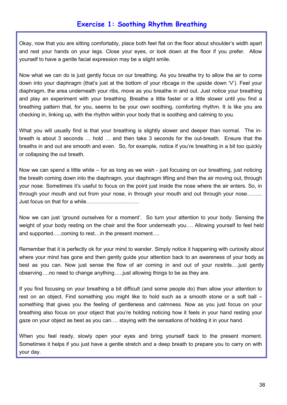# **Exercise 1: Soothing Rhythm Breathing**

Okay, now that you are sitting comfortably, place both feet flat on the floor about shoulder's width apart and rest your hands on your legs. Close your eyes, or look down at the floor if you prefer. Allow yourself to have a gentle facial expression may be a slight smile.

Now what we can do is just gently focus on our breathing. As you breathe try to allow the air to come down into your diaphragm (that's just at the bottom of your ribcage in the upside down 'V'). Feel your diaphragm, the area underneath your ribs, move as you breathe in and out. Just notice your breathing and play an experiment with your breathing. Breathe a little faster or a little slower until you find a breathing pattern that, for you, seems to be your own soothing, comforting rhythm. It is like you are checking in, linking up, with the rhythm within your body that is soothing and calming to you.

What you will usually find is that your breathing is slightly slower and deeper than normal. The inbreath is about 3 seconds … hold … and then take 3 seconds for the out-breath. Ensure that the breaths in and out are smooth and even. So, for example, notice if you're breathing in a bit too quickly or collapsing the out breath.

Now we can spend a little while – for as long as we wish - just focusing on our breathing, just noticing the breath coming down into the diaphragm, your diaphragm lifting and then the air moving out, through your nose. Sometimes it's useful to focus on the point just inside the nose where the air enters. So, in through your mouth and out from your nose, in through your mouth and out through your nose……... Just focus on that for a while…………………………

Now we can just 'ground ourselves for a moment'. So turn your attention to your body. Sensing the weight of your body resting on the chair and the floor underneath you…. Allowing yourself to feel held and supported…..coming to rest…in the present moment….

Remember that it is perfectly ok for your mind to wander. Simply notice it happening with curiosity about where your mind has gone and then gently guide your attention back to an awareness of your body as best as you can. Now just sense the flow of air coming in and out of your nostrils….just gently observing….no need to change anything…..just allowing things to be as they are.

If you find focusing on your breathing a bit difficult (and some people do) then allow your attention to rest on an object. Find something you might like to hold such as a smooth stone or a soft ball – something that gives you the feeling of gentleness and calmness. Now as you just focus on your breathing also focus on your object that you're holding noticing how it feels in your hand resting your gaze on your object as best as you can…. staying with the sensations of holding it in your hand.

When you feel ready, slowly open your eyes and bring yourself back to the present moment. Sometimes it helps if you just have a gentle stretch and a deep breath to prepare you to carry on with your day.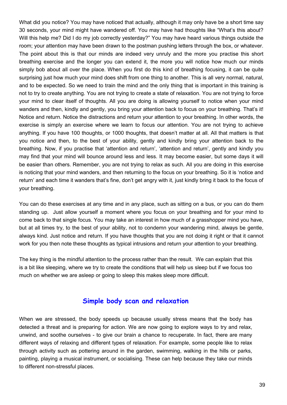What did you notice? You may have noticed that actually, although it may only have be a short time say 30 seconds, your mind might have wandered off. You may have had thoughts like "What's this about? Will this help me? Did I do my job correctly yesterday?" You may have heard various things outside the room; your attention may have been drawn to the postman pushing letters through the box, or whatever. The point about this is that our minds are indeed very unruly and the more you practise this short breathing exercise and the longer you can extend it, the more you will notice how much our minds simply bob about all over the place. When you first do this kind of breathing focusing, it can be quite surprising just how much your mind does shift from one thing to another. This is all very normal, natural, and to be expected. So we need to train the mind and the only thing that is important in this training is not to try to create anything. You are not trying to create a state of relaxation. You are not trying to force your mind to clear itself of thoughts. All you are doing is allowing yourself to notice when your mind wanders and then, kindly and gently, you bring your attention back to focus on your breathing. That's it! Notice and return. Notice the distractions and return your attention to your breathing. In other words, the exercise is simply an exercise where we learn to focus our attention. You are not trying to achieve anything. If you have 100 thoughts, or 1000 thoughts, that doesn't matter at all. All that matters is that you notice and then, to the best of your ability, gently and kindly bring your attention back to the breathing. Now, if you practise that 'attention and return', 'attention and return', gently and kindly you may find that your mind will bounce around less and less. It may become easier, but some days it will be easier than others. Remember, you are not trying to relax as such. All you are doing in this exercise is noticing that your mind wanders, and then returning to the focus on your breathing. So it is 'notice and return' and each time it wanders that's fine, don't get angry with it, just kindly bring it back to the focus of your breathing.

You can do these exercises at any time and in any place, such as sitting on a bus, or you can do them standing up. Just allow yourself a moment where you focus on your breathing and for your mind to come back to that single focus. You may take an interest in how much of a grasshopper mind you have, but at all times try, to the best of your ability, not to condemn your wandering mind, always be gentle, always kind. Just notice and return. If you have thoughts that you are not doing it right or that it cannot work for you then note these thoughts as typical intrusions and return your attention to your breathing.

The key thing is the mindful attention to the process rather than the result. We can explain that this is a bit like sleeping, where we try to create the conditions that will help us sleep but if we focus too much on whether we are asleep or going to sleep this makes sleep more difficult.

### **Simple body scan and relaxation**

When we are stressed, the body speeds up because usually stress means that the body has detected a threat and is preparing for action. We are now going to explore ways to try and relax, unwind, and soothe ourselves - to give our brain a chance to recuperate. In fact, there are many different ways of relaxing and different types of relaxation. For example, some people like to relax through activity such as pottering around in the garden, swimming, walking in the hills or parks, painting, playing a musical instrument, or socialising. These can help because they take our minds to different non-stressful places.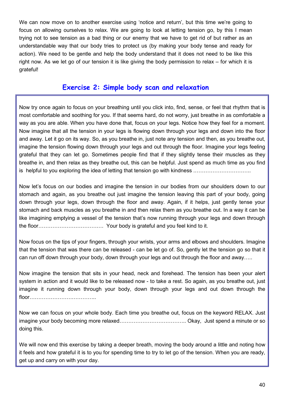We can now move on to another exercise using 'notice and return', but this time we're going to focus on allowing ourselves to relax. We are going to look at letting tension go, by this I mean trying not to see tension as a bad thing or our enemy that we have to get rid of but rather as an understandable way that our body tries to protect us (by making your body tense and ready for action). We need to be gentle and help the body understand that it does not need to be like this right now. As we let go of our tension it is like giving the body permission to relax – for which it is grateful!

### **Exercise 2: Simple body scan and relaxation**

Now try once again to focus on your breathing until you click into, find, sense, or feel that rhythm that is most comfortable and soothing for you. If that seems hard, do not worry, just breathe in as comfortable a way as you are able. When you have done that, focus on your legs. Notice how they feel for a moment. Now imagine that all the tension in your legs is flowing down through your legs and down into the floor and away. Let it go on its way. So, as you breathe in, just note any tension and then, as you breathe out, imagine the tension flowing down through your legs and out through the floor. Imagine your legs feeling grateful that they can let go. Sometimes people find that if they slightly tense their muscles as they breathe in, and then relax as they breathe out, this can be helpful. Just spend as much time as you find is helpful to you exploring the idea of letting that tension go with kindness ................................

Now let's focus on our bodies and imagine the tension in our bodies from our shoulders down to our stomach and again, as you breathe out just imagine the tension leaving this part of your body, going down through your legs, down through the floor and away. Again, if it helps, just gently tense your stomach and back muscles as you breathe in and then relax them as you breathe out. In a way it can be like imagining emptying a vessel of the tension that's now running through your legs and down through the floor………………………………. Your body is grateful and you feel kind to it.

Now focus on the tips of your fingers, through your wrists, your arms and elbows and shoulders. Imagine that the tension that was there can be released - can be let go of. So, gently let the tension go so that it can run off down through your body, down through your legs and out through the floor and away…..

Now imagine the tension that sits in your head, neck and forehead. The tension has been your alert system in action and it would like to be released now - to take a rest. So again, as you breathe out, just imagine it running down through your body, down through your legs and out down through the floor………………………………..

Now we can focus on your whole body. Each time you breathe out, focus on the keyword RELAX. Just imagine your body becoming more relaxed……………………………….. Okay, Just spend a minute or so doing this.

We will now end this exercise by taking a deeper breath, moving the body around a little and noting how it feels and how grateful it is to you for spending time to try to let go of the tension. When you are ready, get up and carry on with your day.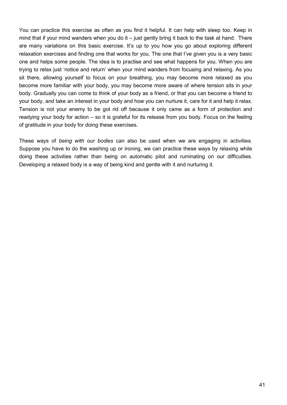You can practice this exercise as often as you find it helpful. It can help with sleep too. Keep in mind that if your mind wanders when you do it  $-$  just gently bring it back to the task at hand. There are many variations on this basic exercise. It's up to you how you go about exploring different relaxation exercises and finding one that works for you. The one that I've given you is a very basic one and helps some people. The idea is to practise and see what happens for you. When you are trying to relax just 'notice and return' when your mind wanders from focusing and relaxing. As you sit there, allowing yourself to focus on your breathing, you may become more relaxed as you become more familiar with your body, you may become more aware of where tension sits in your body. Gradually you can come to think of your body as a friend, or that you can become a friend to your body, and take an interest in your body and how you can nurture it, care for it and help it relax. Tension is not your enemy to be got rid off because it only came as a form of protection and readying your body for action – so it is grateful for its release from you body. Focus on the feeling of gratitude in your body for doing these exercises.

These ways of *being with our bodies* can also be used when we are engaging in activities. Suppose you have to do the washing up or ironing, we can practice these ways by relaxing while doing these activities rather than being on automatic pilot and ruminating on our difficulties. Developing a relaxed body is a way of being kind and gentle with it and nurturing it.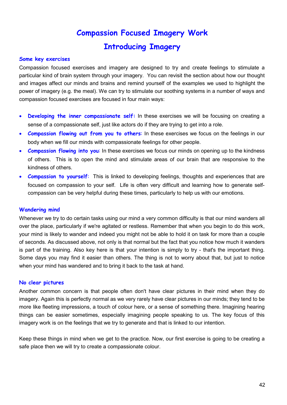# **Compassion Focused Imagery Work**

# **Introducing Imagery**

#### **Some key exercises**

Compassion focused exercises and imagery are designed to try and create feelings to stimulate a particular kind of brain system through your imagery. You can revisit the section about how our thought and images affect our minds and brains and remind yourself of the examples we used to highlight the power of imagery (e.g. the meal). We can try to stimulate our soothing systems in a number of ways and compassion focused exercises are focused in four main ways:

- **Developing the inner compassionate self:** In these exercises we will be focusing on creating a sense of a compassionate self, just like actors do if they are trying to get into a role.
- **Compassion flowing out from you to others**: In these exercises we focus on the feelings in our body when we fill our minds with compassionate feelings for other people.
- **Compassion flowing into you**: In these exercises we focus our minds on opening up to the kindness of others. This is to open the mind and stimulate areas of our brain that are responsive to the kindness of others.
- **Compassion to yourself**: This is linked to developing feelings, thoughts and experiences that are focused on compassion to your self. Life is often very difficult and learning how to generate selfcompassion can be very helpful during these times, particularly to help us with our emotions.

### **Wandering mind**

Whenever we try to do certain tasks using our mind a very common difficulty is that our mind wanders all over the place, particularly if we're agitated or restless. Remember that when you begin to do this work, your mind is likely to wander and indeed you might not be able to hold it on task for more than a couple of seconds. As discussed above, not only is that normal but the fact that you notice how much it wanders is part of the training. Also key here is that your intention is simply to try - that's the important thing. Some days you may find it easier than others. The thing is not to worry about that, but just to notice when your mind has wandered and to bring it back to the task at hand.

#### **No clear pictures**

Another common concern is that people often don't have clear pictures in their mind when they do imagery. Again this is perfectly normal as we very rarely have clear pictures in our minds; they tend to be more like fleeting impressions, a touch of colour here, or a sense of something there. Imagining hearing things can be easier sometimes, especially imagining people speaking to us. The key focus of this imagery work is on the feelings that we try to generate and that is linked to our intention.

Keep these things in mind when we get to the practice. Now, our first exercise is going to be creating a safe place then we will try to create a compassionate colour.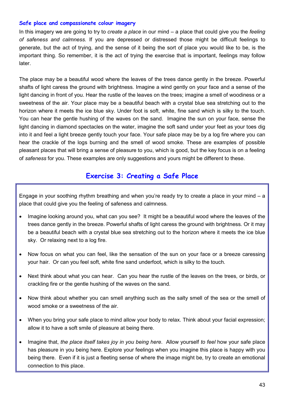### **Safe place and compassionate colour imagery**

In this imagery we are going to try to *create a place* in our mind – a place that could give you the *feeling of safeness and calmness.* If you are depressed or distressed those might be difficult feelings to generate, but the act of trying, and the sense of it being the sort of place you would like to be, is the important thing. So remember, it is the act of trying the exercise that is important, feelings may follow later.

The place may be a beautiful wood where the leaves of the trees dance gently in the breeze. Powerful shafts of light caress the ground with brightness. Imagine a wind gently on your face and a sense of the light dancing in front of you. Hear the rustle of the leaves on the trees; imagine a smell of woodiness or a sweetness of the air. Your place may be a beautiful beach with a crystal blue sea stretching out to the horizon where it meets the ice blue sky. Under foot is soft, white, fine sand which is silky to the touch. You can hear the gentle hushing of the waves on the sand. Imagine the sun on your face, sense the light dancing in diamond spectacles on the water, imagine the soft sand under your feet as your toes dig into it and feel a light breeze gently touch your face. Your safe place may be by a log fire where you can hear the crackle of the logs burning and the smell of wood smoke. These are examples of possible pleasant places that will bring a sense of pleasure to you, which is good, but the key focus is on a feeling of *safeness* for you. These examples are only suggestions and yours might be different to these.

## **Exercise 3: Creating a Safe Place**

Engage in your soothing rhythm breathing and when you're ready try to create a place in your mind – a place that could give you the feeling of safeness and calmness*.*

- Imagine looking around you, what can you see? It might be a beautiful wood where the leaves of the trees dance gently in the breeze. Powerful shafts of light caress the ground with brightness. Or it may be a beautiful beach with a crystal blue sea stretching out to the horizon where it meets the ice blue sky. Or relaxing next to a log fire.
- Now focus on what you can feel, like the sensation of the sun on your face or a breeze caressing your hair. Or can you feel soft, white fine sand underfoot, which is silky to the touch.
- Next think about what you can hear. Can you hear the rustle of the leaves on the trees, or birds, or crackling fire or the gentle hushing of the waves on the sand.
- Now think about whether you can smell anything such as the salty smell of the sea or the smell of wood smoke or a sweetness of the air.
- When you bring your safe place to mind allow your body to relax. Think about your facial expression; allow it to have a soft smile of pleasure at being there.
- Imagine that, *the place itself takes joy in you being here*. Allow yourself *to feel* how your safe place has pleasure in you being here. Explore your feelings when you imagine this place is happy with you being there. Even if it is just a fleeting sense of where the image might be, try to create an emotional connection to this place.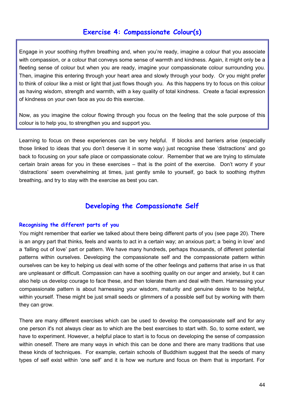### **Exercise 4: Compassionate Colour(s)**

Engage in your soothing rhythm breathing and, when you're ready, imagine a colour that you associate with compassion, or a colour that conveys some sense of warmth and kindness. Again, it might only be a fleeting sense of colour but when you are ready, imagine your compassionate colour surrounding you. Then, imagine this entering through your heart area and slowly through your body. Or you might prefer to think of colour like a mist or light that just flows though you. As this happens try to focus on this colour as having wisdom, strength and warmth, with a key quality of total kindness. Create a facial expression of kindness on your own face as you do this exercise.

Now, as you imagine the colour flowing through you focus on the feeling that the sole purpose of this colour is to help you, to strengthen you and support you.

Learning to focus on these experiences can be very helpful. If blocks and barriers arise (especially those linked to ideas that you don't deserve it in some way) just recognise these 'distractions' and go back to focusing on your safe place or compassionate colour. Remember that we are trying to stimulate certain brain areas for you in these exercises – that is the point of the exercise. Don't worry if your 'distractions' seem overwhelming at times, just gently smile to yourself, go back to soothing rhythm breathing, and try to stay with the exercise as best you can.

### **Developing the Compassionate Self**

#### **Recognising the different parts of you**

You might remember that earlier we talked about there being different parts of you (see page 20). There is an angry part that thinks, feels and wants to act in a certain way; an anxious part; a 'being in love' and a 'falling out of love' part or pattern. We have many hundreds, perhaps thousands, of different potential patterns within ourselves. Developing the compassionate self and the compassionate pattern within ourselves can be key to helping us deal with some of the other feelings and patterns that arise in us that are unpleasant or difficult. Compassion can have a soothing quality on our anger and anxiety, but it can also help us develop courage to face these, and then tolerate them and deal with them. Harnessing your compassionate pattern is about harnessing your wisdom, maturity and genuine desire to be helpful, within yourself. These might be just small seeds or glimmers of a possible self but by working with them they can grow.

There are many different exercises which can be used to develop the compassionate self and for any one person it's not always clear as to which are the best exercises to start with. So, to some extent, we have to experiment. However, a helpful place to start is to focus on developing the sense of compassion within oneself. There are many ways in which this can be done and there are many traditions that use these kinds of techniques. For example, certain schools of Buddhism suggest that the seeds of many types of self exist within 'one self' and it is how we nurture and focus on them that is important. For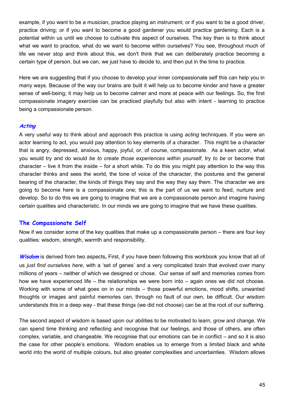example, if you want to be a musician, practice playing an instrument; or if you want to be a good driver, practice driving; or if you want to become a good gardener you would practice gardening. Each is a potential within us until we choose to cultivate this aspect of ourselves. The key then is to think about what we want to practice, what do we want to become within ourselves? You see, throughout much of life we never stop and think about this, we don't think that we can deliberately practice becoming a certain type of person, but we can, we just have to decide to, and then put in the time to practice.

Here we are suggesting that if you choose to develop your inner compassionate self this can help you in many ways. Because of the way our brains are built it will help us to become kinder and have a greater sense of well-being; it may help us to become calmer and more at peace with our feelings. So, the first compassionate imagery exercise can be practiced playfully but also with intent - learning to practice being a compassionate person.

### **Acting**

A very useful way to think about and approach this practice is using *acting* techniques. If you were an actor learning to act, you would pay attention to key elements of a character. This might be a character that is angry, depressed, anxious, happy, joyful, or, of course, compassionate. As a keen actor, what you would try and do would *be to create those experiences within yourself*, try *to be* or become that character – live it from the inside – for a short while. To do this you might pay attention to the way this character thinks and sees the world, the tone of voice of the character, the postures and the general bearing of the character, the kinds of things they say and the way they say them. The character we are going to become here is a compassionate one; this is the part of us we want to feed, nurture and develop. So to do this we are going to imagine that we are a compassionate person and imagine having certain qualities and characteristic. In our minds we are going to imagine that we have these qualities.

### **The Compassionate Self**

Now if we consider some of the key qualities that make up a compassionate person – there are four key qualities: wisdom, strength, warmth and responsibility.

Wisdom is derived from two aspects, First, if you have been following this workbook you know that all of us *just find ourselves here*, with a 'set of genes' and a very complicated brain that evolved over many millions of years – neither of which we designed or chose. Our sense of self and memories comes from how we have experienced life – the relationships we were born into – again ones we did not choose. Working with some of what goes on in our minds – those powerful emotions, mood shifts, unwanted thoughts or images and painful memories can, through no fault of our own, be difficult. Our wisdom understands this in a deep way - that these things (we did not choose) can be at the root of our suffering.

The second aspect of wisdom is based upon our abilities to be motivated to learn, grow and change. We can spend time thinking and reflecting and recognise that our feelings, and those of others, are often complex, variable, and changeable. We recognise that our emotions can be in conflict – and so it is also the case for other people's emotions. Wisdom enables us to emerge from a limited black and white world into the world of multiple colours, but also greater complexities and uncertainties. Wisdom allows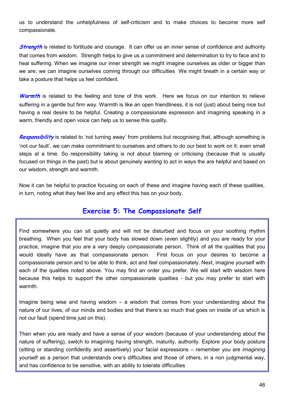us to understand the unhelpfulness of self-criticism and to make choices to become more self compassionate.

**Strength** is related to fortitude and courage. It can offer us an inner sense of confidence and authority that comes from wisdom. Strength helps to give us a commitment and determination to try to face and to heal suffering. When we imagine our inner strength we might imagine ourselves as older or bigger than we are; we can imagine ourselves coming through our difficulties We might breath in a certain way or take a posture that helps us feel confident.

**Warmth** is related to the feeling and tone of this work. Here we focus on our intention to relieve suffering in a gentle but firm way. Warmth is like an open friendliness, it is not (just) about being nice but having a real desire to be helpful. Creating a compassionate expression and imagining speaking in a warm, friendly and open voice can help us to sense this quality.

**Responsibility** is related to 'not turning away' from problems but recognising that, although something is 'not our fault', we can make commitment to ourselves and others to do our best to work on it; even small steps at a time. So responsibility taking is not about blaming or criticising (because that is usually focused on things in the past) but is about genuinely wanting to act in ways the are helpful and based on our wisdom, strength and warmth.

Now it can be helpful to practice focusing on each of these and imagine having each of these qualities, in turn, noting what they feel like and any effect this has on your body.

# **Exercise 5: The Compassionate Self**

Find somewhere you can sit quietly and will not be disturbed and focus on your soothing rhythm breathing. When you feel that your body has slowed down (even slightly) and you are ready for your practice, imagine that *you are* a very deeply compassionate person. Think of all the qualities that you would ideally have as that compassionate person. First focus on your desires to become a compassionate person and to be able to think, act and feel compassionately. Next, imagine yourself with each of the qualities noted above. You may find an order you prefer. We will start with wisdom here because this helps to support the other compassionate qualities - but you may prefer to start with warmth.

Imagine being wise and having wisdom – a wisdom that comes from your understanding about the nature of our lives, of our minds and bodies and that there's so much that goes on inside of us which is not our fault (spend time just on this).

Then when you are ready and have a sense of your wisdom (because of your understanding about the nature of suffering), switch to imagining having strength, maturity, authority. Explore your body posture (sitting or standing confidently and assertively) your facial expressions – remember you are *imagining* yourself as a person that understands one's difficulties and those of others, in a non judgmental way, and has confidence to be sensitive, with an ability to tolerate difficulties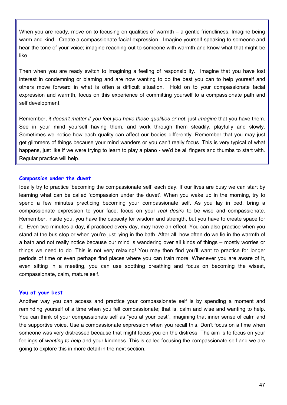When you are ready, move on to focusing on qualities of warmth – a gentle friendliness. Imagine being warm and kind. Create a compassionate facial expression. Imagine yourself speaking to someone and hear the tone of your voice; imagine reaching out to someone with warmth and know what that might be like.

Then when you are ready switch to imagining a feeling of responsibility. Imagine that you have lost interest in condemning or blaming and are now wanting to do the best you can to help yourself and others move forward in what is often a difficult situation. Hold on to your compassionate facial expression and warmth, focus on this experience of committing yourself to a compassionate path and self development.

Remember, *it doesn't matter if you feel you have these qualities or not*, just *imagine* that you have them. See in your mind yourself having them, and work through them steadily, playfully and slowly. Sometimes we notice how each quality can affect our bodies differently. Remember that you may just get glimmers of things because your mind wanders or you can't really focus. This is very typical of what happens, just like if we were trying to learn to play a piano - we'd be all fingers and thumbs to start with. Regular practice will help.

#### **Compassion under the duvet**

Ideally try to practice 'becoming the compassionate self' each day. If our lives are busy we can start by learning what can be called 'compassion under the duvet'. When you wake up in the morning, try to spend a few minutes practicing becoming your compassionate self. As you lay in bed, bring a compassionate expression to your face; focus on your *real desire* to be wise and compassionate. Remember, inside you, you have the capacity for wisdom and strength, but you have to create space for it. Even two minutes a day, if practiced every day, may have an effect. You can also practice when you stand at the bus stop or when you're just lying in the bath. After all, how often do we lie in the warmth of a bath and not really notice because our mind is wandering over all kinds of things – mostly worries or things we need to do. This is not very relaxing! You may then find you'll want to practice for longer periods of time or even perhaps find places where you can train more. Whenever you are aware of it, even sitting in a meeting, you can use soothing breathing and focus on becoming the wisest, compassionate, calm, mature self.

#### **You at your best**

Another way you can access and practice your compassionate self is by spending a moment and reminding yourself of a time when you felt compassionate; that is, calm and wise and wanting to help. You can think of your compassionate self as "you at your best", imagining that inner sense of calm and the supportive voice. Use a compassionate expression when you recall this. Don't focus on a time when someone was very distressed because that might focus you on the distress. The aim is to focus on your feelings of *wanting to help* and your kindness. This is called focusing the compassionate self and we are going to explore this in more detail in the next section.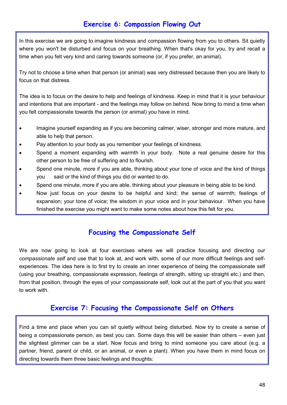# **Exercise 6: Compassion Flowing Out**

In this exercise we are going to imagine kindness and compassion flowing from you to others. Sit quietly where you won't be disturbed and focus on your breathing. When that's okay for you, try and recall a time when you felt very kind and caring towards someone (or, if you prefer, an animal).

Try not to choose a time when that person (or animal) was very distressed because then you are likely to focus on that distress.

The idea is to focus on the desire to help and feelings of kindness. Keep in mind that it is your behaviour and intentions that are important - and the feelings may follow on behind. Now bring to mind a time when you felt compassionate towards the person (or animal) you have in mind.

- Imagine yourself expanding as if you are becoming calmer, wiser, stronger and more mature, and able to help that person.
- Pay attention to your body as you remember your feelings of kindness.
- Spend a moment expanding with warmth in your body. Note a real genuine desire for this other person to be free of suffering and to flourish.
- Spend one minute, more if you are able, thinking about your tone of voice and the kind of things you said or the kind of things you did or wanted to do.
- Spend one minute, more if you are able, thinking about your pleasure in being able to be kind.
- Now just focus on your desire to be helpful and kind; the sense of warmth; feelings of expansion; your tone of voice; the wisdom in your voice and in your behaviour. When you have finished the exercise you might want to make some notes about how this felt for you.

# **Focusing the Compassionate Self**

We are now going to look at four exercises where we will practice focusing and directing our *compassionate self* and use that to look at, and work with, some of our more difficult feelings and selfexperiences. The idea here is to first try to create an inner experience of being the compassionate self (using your breathing, compassionate expression, feelings of strength, sitting up straight etc.) and then, from that position, through the eyes of your compassionate self, look out at the part of you that you want to work with.

# **Exercise 7: Focusing the Compassionate Self on Others**

Find a time and place when you can sit quietly without being disturbed. Now try to create a sense of being a compassionate person, as best you can. Some days this will be easier than others – even just the slightest glimmer can be a start. Now focus and bring to mind someone you care about (e.g. a partner, friend, parent or child, or an animal, or even a plant). When you have them in mind focus on directing towards them three basic feelings and thoughts: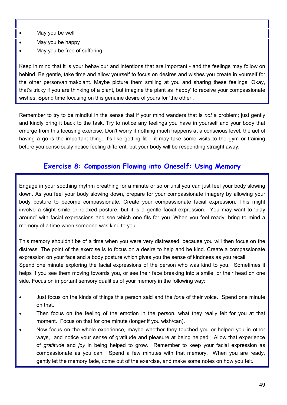- May you be well
- May you be happy
- May you be free of suffering

Keep in mind that it is your behaviour and intentions that are important - and the feelings may follow on behind. Be gentle, take time and allow yourself to focus on desires and wishes you create in yourself for the other person/animal/plant. Maybe picture them smiling at you and sharing these feelings. Okay, that's tricky if you are thinking of a plant, but imagine the plant as 'happy' to receive your compassionate wishes. Spend time focusing on this genuine desire of yours for 'the other'.

Remember to try to be mindful in the sense that if your mind wanders that is *not* a problem; just gently and kindly bring it back to the task. Try to notice any feelings you have in yourself and your body that emerge from this focusing exercise. Don't worry if nothing much happens at a conscious level, the act of having a go is the important thing. It's like getting fit – it may take some visits to the gym or training before you consciously notice feeling different, but your body will be responding straight away.

## **Exercise 8: Compassion Flowing into Oneself: Using Memory**

Engage in your soothing rhythm breathing for a minute or so or until you can just feel your body slowing down. As you feel your body slowing down, prepare for your compassionate imagery by allowing your body posture to become compassionate. Create your compassionate facial expression. This might involve a slight smile or relaxed posture, but it is a gentle facial expression. You may want to 'play around' with facial expressions and see which one fits for you. When you feel ready, bring to mind a memory of a time when someone was kind to you.

This memory shouldn't be of a time when you were very distressed, because you will then focus on the distress. The point of the exercise is to focus on a desire to help and be kind. Create a compassionate expression on your face and a body posture which gives you the sense of kindness as you recall.

Spend one minute exploring the facial expressions of the person who was kind to you. Sometimes it helps if you see them moving towards you, or see their face breaking into a smile, or their head on one side. Focus on important sensory qualities of your memory in the following way:

- Just focus on the kinds of things this person said and the *tone* of their voice. Spend one minute on that.
- Then focus on the feeling of the emotion in the person, what they really felt for you at that moment. Focus on that for one minute (longer if you wish/can).
- Now focus on the whole experience, maybe whether they touched you or helped you in other ways, and notice your sense of gratitude and pleasure at being helped. Allow that experience of *gratitude* and *joy* in being helped to grow. Remember to keep your facial expression as compassionate as you can. Spend a few minutes with that memory. When you are ready, gently let the memory fade, come out of the exercise, and make some notes on how you felt.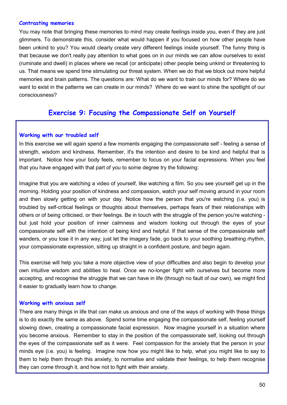#### **Contrasting memories**

You may note that bringing these memories to mind may create feelings inside you, even if they are just glimmers. To demonstrate this, consider what would happen if you focused on how other people have been *un*kind to you? You would clearly create very different feelings inside yourself. The funny thing is that because we don't really pay attention to what goes on in our minds we can allow ourselves to exist (ruminate and dwell) in places where we recall (or anticipate) other people being unkind or threatening to us. That means we spend time stimulating our threat system. When we do that we block out more helpful memories and brain patterns. The questions are: What do we want to train our minds for? Where do we want to exist in the patterns we can create in our minds? Where do we want to shine the spotlight of our consciousness?

### **Exercise 9: Focusing the Compassionate Self on Yourself**

### **Working with our troubled self**

In this exercise we will again spend a few moments engaging the compassionate self - feeling a sense of strength, wisdom and kindness. Remember, it's the intention and desire to be kind and helpful that is important. Notice how your body feels, remember to focus on your facial expressions. When you feel that you have engaged with that part of you to some degree try the following:

Imagine that you are watching a video of yourself, like watching a film. So you see yourself get up in the morning. Holding your position of kindness and compassion, watch your self moving around in your room and then slowly getting on with your day. Notice how the person that you're watching (i.e. you) is troubled by self-critical feelings or thoughts about themselves, perhaps fears of their relationships with others or of being criticised, or their feelings. Be in touch with the struggle of the person you're watching but just hold your position of inner calmness and wisdom looking out through the eyes of your compassionate self with the intention of being kind and helpful. If that sense of the compassionate self wanders, or you lose it in any way; just let the imagery fade, go back to your soothing breathing rhythm, your compassionate expression, sitting up straight in a confident posture, and begin again.

This exercise will help you take a more objective view of your difficulties and also begin to develop your own intuitive wisdom and abilities to heal. Once we no-longer fight with ourselves but become more accepting, and recognise the struggle that we can have in life (through no fault of our own), we might find it easier to gradually learn how to change.

### **Working with anxious self**

There are many things in life that can make us anxious and one of the ways of working with these things is to do exactly the same as above. Spend some time engaging the compassionate self, feeling yourself slowing down, creating a compassionate facial expression. Now imagine yourself in a situation where you become anxious. Remember to stay in the position of the compassionate self, looking out through the eyes of the compassionate self as it were. Feel compassion for the anxiety that the person in your minds eye (i.e. you) is feeling. Imagine now how you might like to help, what you might like to say to them to help them through this anxiety, to normalise and validate their feelings, to help them recognise they can come through it, and how not to fight with their anxiety.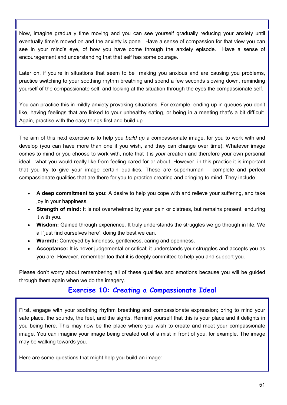Now, imagine gradually time moving and you can see yourself gradually reducing your anxiety until eventually time's moved on and the anxiety is gone. Have a sense of compassion for that view you can see in your mind's eye, of how you have come through the anxiety episode. Have a sense of encouragement and understanding that that self has some courage.

Later on, if you're in situations that seem to be making you anxious and are causing you problems, practice switching to your soothing rhythm breathing and spend a few seconds slowing down, reminding yourself of the compassionate self, and looking at the situation through the eyes the compassionate self.

You can practice this in mildly anxiety provoking situations. For example, ending up in queues you don't like, having feelings that are linked to your unhealthy eating, or being in a meeting that's a bit difficult. Again, practise with the easy things first and build up.

The aim of this next exercise is to help you *build up* a compassionate image, for you to work with and develop (you can have more than one if you wish, and they can change over time). Whatever image comes to mind or you choose to work with, note that it is *your* creation and therefore your own personal ideal - what you would really like from feeling cared for or about. However, in this practice it is important that you try to give your image certain qualities. These are superhuman – complete and perfect compassionate qualities that are there for you to practice creating and bringing to mind. They include:

- **A deep commitment to you:** A desire to help you cope with and relieve your suffering, and take joy in your happiness.
- **Strength of mind:** It is not overwhelmed by your pain or distress, but remains present, enduring it with you.
- **Wisdom:** Gained through experience. It truly understands the struggles we go through in life. We all 'just find ourselves here', doing the best we can.
- **Warmth:** Conveyed by kindness, gentleness, caring and openness.
- **Acceptance:** It is never judgemental or critical; it understands your struggles and accepts you as you are. However, remember too that it is deeply committed to help you and support you.

Please don't worry about remembering all of these qualities and emotions because you will be guided through them again when we do the imagery.

### **Exercise 10: Creating a Compassionate Ideal**

First, engage with your soothing rhythm breathing and compassionate expression; bring to mind your safe place, the sounds, the feel, and the sights. Remind yourself that this is your place and it delights in you being here. This may now be the place where you wish to create and meet your compassionate image. You can imagine your image being created out of a mist in front of you, for example. The image may be walking towards you.

Here are some questions that might help you build an image: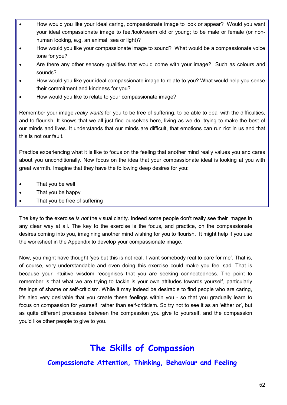- How would you like your ideal caring, compassionate image to look or appear? Would you want your ideal compassionate image to feel/look/seem old or young; to be male or female (or non human looking, e.g. an animal, sea or light)?
- How would you like your compassionate image to sound? What would be a compassionate voice tone for you?
- Are there any other sensory qualities that would come with your image? Such as colours and sounds?
- How would you like your ideal compassionate image to relate to you? What would help you sense their commitment and kindness for you?
- How would you like to relate to your compassionate image?

Remember your image *really wants* for you to be free of suffering, to be able to deal with the difficulties, and to flourish. It knows that we all just find ourselves here, living as we do, trying to make the best of our minds and lives. It understands that our minds are difficult, that emotions can run riot in us and that this is not our fault.

Practice experiencing what it is like to focus on the feeling that another mind really values you and cares about you unconditionally. Now focus on the idea that your compassionate ideal is looking at you with great warmth. Imagine that they have the following deep desires for you:

- That you be well
- That you be happy
- That you be free of suffering

The key to the exercise *is not* the visual clarity. Indeed some people don't really see their images in any clear way at all. The key to the exercise is the focus, and practice, on the compassionate desires coming into you, imagining another mind wishing for you to flourish. It might help if you use the worksheet in the Appendix to develop your compassionate image.

Now, you might have thought 'yes but this is not real, I want somebody real to care for me'. That is, of course, very understandable and even doing this exercise could make you feel sad. That is because your intuitive wisdom recognises that you are seeking connectedness. The point to remember is that what we are trying to tackle is your own attitudes towards yourself, particularly feelings of shame or self-criticism. While it may indeed be desirable to find people who are caring, it's also very desirable that you create these feelings within you - so that you gradually learn to focus on compassion for yourself, rather than self-criticism. So try not to see it as an 'either or', but as quite different processes between the compassion you give to yourself, and the compassion you'd like other people to give to you.

# **The Skills of Compassion**

**Compassionate Attention, Thinking, Behaviour and Feeling**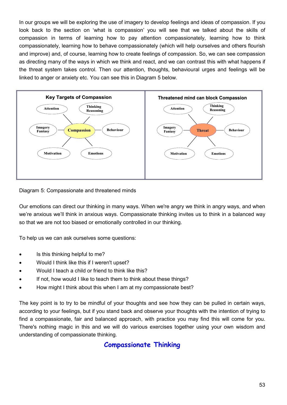In our groups we will be exploring the use of imagery to develop feelings and ideas of compassion. If you look back to the section on 'what is compassion' you will see that we talked about the skills of compassion in terms of learning how to pay attention compassionately, learning how to think compassionately, learning how to behave compassionately (which will help ourselves and others flourish and improve) and, of course, learning how to create feelings of compassion. So, we can see compassion as directing many of the ways in which we think and react, and we can contrast this with what happens if the threat system takes control. Then our attention, thoughts, behavioural urges and feelings will be linked to anger or anxiety etc. You can see this in Diagram 5 below.



Diagram 5: Compassionate and threatened minds

Our emotions can direct our thinking in many ways. When we're angry we think in angry ways, and when we're anxious we'll think in anxious ways. Compassionate thinking invites us to think in a balanced way so that we are not too biased or emotionally controlled in our thinking.

To help us we can ask ourselves some questions:

- Is this thinking helpful to me?
- Would I think like this if I weren't upset?
- Would I teach a child or friend to think like this?
- If not, how would I like to teach them to think about these things?
- How might I think about this when I am at my compassionate best?

The key point is to try to be mindful of your thoughts and see how they can be pulled in certain ways, according to your feelings, but if you stand back and observe your thoughts with the intention of trying to find a compassionate, fair and balanced approach, with practice you may find this will come for you. There's nothing magic in this and we will do various exercises together using your own wisdom and understanding of compassionate thinking.

### **Compassionate Thinking**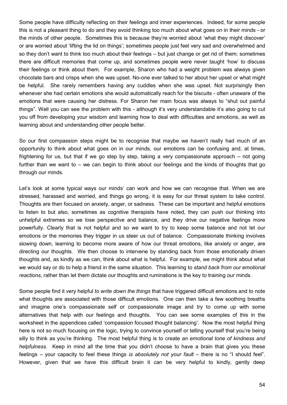Some people have difficulty reflecting on their feelings and inner experiences. Indeed, for some people this is not a pleasant thing to do and they avoid thinking too much about what goes on in their minds - or the minds of other people. Sometimes this is because they're worried about 'what they might discover' or are worried about 'lifting the lid on things'; sometimes people just feel very sad and overwhelmed and so they don't want to think too much about their feelings – but just change or get rid of them; sometimes there are difficult memories that come up, and sometimes people were never taught 'how' to discuss their feelings or think about them. For example, Sharon who had a weight problem was always given chocolate bars and crisps when she was upset. No-one ever talked to her about her upset or what might be helpful. She rarely remembers having any cuddles when she was upset. Not surprisingly then whenever she had certain emotions she would automatically reach for the biscuits - often unaware of the emotions that were causing her distress. For Sharon her main focus was always to "shut out painful things". Well you can see the problem with this - although it's very understandable it's also going to cut you off from developing your wisdom and learning how to deal with difficulties and emotions, as well as learning about and understanding other people better.

So our first compassion steps might be to recognise that maybe we haven't really had much of an opportunity to think about what goes on in our minds, our emotions can be confusing and, at times, frightening for us, but that if we go step by step, taking a very compassionate approach – not going further than we want to – we can begin to think about our feelings and the kinds of thoughts that go through our minds.

Let's look at some typical ways our minds' can work and how we can recognise that. When we are stressed, harassed and worried, and things go wrong, it is easy for our threat system to take control. Thoughts are then focused on anxiety, anger, or sadness. These can be important and helpful emotions to listen to but also, sometimes as cognitive therapists have noted, they can push our thinking into unhelpful extremes so we lose perspective and balance, and they drive our negative feelings more powerfully. Clearly that is not helpful and so we want to try to keep some balance and not let our emotions or the memories they trigger in us steer us out of balance. Compassionate thinking involves slowing down, learning to become more aware of how our threat emotions, like anxiety or anger, are directing our thoughts. We then choose to intervene by standing back from those emotionally driven thoughts and, as kindly as we can, think about what is helpful. For example, we might think about what we would say or do to help a friend in the same situation. This learning to *stand back from our emotional reactions*, rather than let them dictate our thoughts and ruminations is the key to training our minds.

Some people find it very helpful *to write down the things* that have triggered difficult emotions and to note what thoughts are associated with those difficult emotions. One can then take a few soothing breaths and imagine one's compassionate self or compassionate image and try to come up with some alternatives that help with our feelings and thoughts. You can see some examples of this in the worksheet in the appendices called 'compassion focused thought balancing'. Now the most helpful thing here is not so much focusing on the logic, trying to convince yourself or telling yourself that you're being silly to think as you're thinking. The most helpful thing is to create *an emotional tone of kindness and helpfulness*. Keep in mind all the time that you didn't choose to have a brain that gives you these feelings – your capacity to feel these things *is absolutely not your fault* – there is no "I should feel". However, given that we have this difficult brain it can be very helpful to kindly, gently deep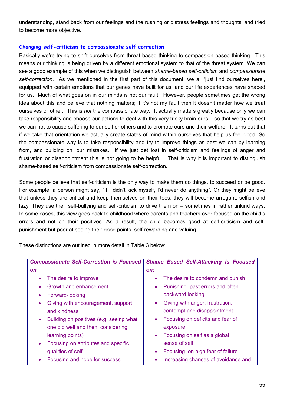understanding, stand back from our feelings and the rushing or distress feelings and thoughts' and tried to become more objective.

### **Changing self-criticism to compassionate self correction**

Basically we're trying to shift ourselves from threat based thinking to compassion based thinking. This means our thinking is being driven by a different emotional system to that of the threat system. We can see a good example of this when we distinguish between *shame-based self-criticism* and *compassionate self-correction*. As we mentioned in the first part of this document, we all 'just find ourselves here', equipped with certain emotions that our genes have built for us, and our life experiences have shaped for us. Much of what goes on in our minds is not our fault. However, people sometimes get the wrong idea about this and believe that nothing matters; if it's not my fault then it doesn't matter how we treat ourselves or other. This is *not* the compassionate way. It actually matters greatly because only we can take responsibility and choose our actions to deal with this very tricky brain ours – so that we try as best we can not to cause suffering to our self or others and to promote ours and their welfare. It turns out that if we take that orientation we actually create states of mind within ourselves that help us feel good! So the compassionate way is to take responsibility and try to improve things as best we can by learning from, and building on, our mistakes. If we just get lost in self-criticism and feelings of anger and frustration or disappointment this is not going to be helpful. That is why it is important to distinguish shame-based self-criticism from compassionate self-correction.

Some people believe that self-criticism is the only way to make them do things, to succeed or be good. For example, a person might say, "If I didn't kick myself, I'd never do anything". Or they might believe that unless they are critical and keep themselves on their toes, they will become arrogant, selfish and lazy. They use their self-bullying and self-criticism to drive them on – sometimes in rather unkind ways. In some cases, this view goes back to childhood where parents and teachers over-focused on the child's errors and not on their positives. As a result, the child becomes good at self-criticism and selfpunishment but poor at seeing their good points, self-rewarding and valuing.

| <b>Compassionate Self-Correction is Focused</b><br><b>Shame Based Self-Attacking is Focused</b> |                                                  |
|-------------------------------------------------------------------------------------------------|--------------------------------------------------|
| on:                                                                                             | on:                                              |
| The desire to improve<br>$\bullet$                                                              | The desire to condemn and punish<br>$\bullet$    |
| Growth and enhancement                                                                          | Punishing past errors and often<br>$\bullet$     |
| Forward-looking<br>$\bullet$                                                                    | backward looking                                 |
| Giving with encouragement, support<br>$\bullet$                                                 | Giving with anger, frustration,<br>$\bullet$     |
| and kindness                                                                                    | contempt and disappointment                      |
| Building on positives (e.g. seeing what<br>$\bullet$                                            | Focusing on deficits and fear of<br>$\bullet$    |
| one did well and then considering                                                               | exposure                                         |
| learning points)                                                                                | Focusing on self as a global<br>$\bullet$        |
| Focusing on attributes and specific<br>$\bullet$                                                | sense of self                                    |
| qualities of self                                                                               | Focusing on high fear of failure<br>$\bullet$    |
| Focusing and hope for success                                                                   | Increasing chances of avoidance and<br>$\bullet$ |

These distinctions are outlined in more detail in Table 3 below: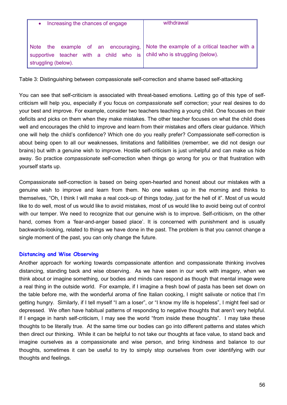| Increasing the chances of engage<br>$\bullet$                                                                                                                                                       | withdrawal |
|-----------------------------------------------------------------------------------------------------------------------------------------------------------------------------------------------------|------------|
| Note the example of an encouraging, $\vert$ Note the example of a critical teacher with a $\vert$<br>supportive teacher with a child who is child who is struggling (below).<br>struggling (below). |            |

Table 3: Distinguishing between compassionate self-correction and shame based self-attacking

You can see that self-criticism is associated with threat-based emotions. Letting go of this type of selfcriticism will help you, especially if you focus on *compassionate* self correction; your real desires to do your best and improve. For example, consider two teachers teaching a young child. One focuses on their deficits and picks on them when they make mistakes. The other teacher focuses on what the child does well and encourages the child to improve and learn from their mistakes and offers clear guidance. Which one will help the child's confidence? Which one do you really prefer? Compassionate self-correction is about being open to all our weaknesses, limitations and fallibilities (remember, we did not design our brains) but with a genuine wish to improve. Hostile self-criticism is just unhelpful and can make us hide away. So practice *compassionate* self-correction when things go wrong for you or that frustration with yourself starts up.

Compassionate self-correction is based on being open-hearted and honest about our mistakes with a genuine wish to improve and learn from them. No one wakes up in the morning and thinks to themselves, "Oh, I think I will make a real cock-up of things today, just for the hell of it". Most of us would like to do well, most of us would like to avoid mistakes, most of us would like to avoid being out of control with our temper. We need to recognize that our genuine wish is to improve. Self-criticism, on the other hand, comes from a 'fear-and-anger based place'. It is concerned with punishment and is usually backwards-looking, related to things we have done in the past. The problem is that you cannot change a single moment of the past, you can only change the future.

### **Distancing and Wise Observing**

Another approach for working towards compassionate attention and compassionate thinking involves distancing, standing back and wise observing. As we have seen in our work with imagery, when we think about or imagine something, our bodies and minds can respond as though that mental image were a real thing in the outside world. For example, if I imagine a fresh bowl of pasta has been set down on the table before me, with the wonderful aroma of fine Italian cooking, I might salivate or notice that I'm getting hungry. Similarly, if I tell myself "I am a loser", or "I know my life is hopeless", I might feel sad or depressed. We often have habitual patterns of responding to negative thoughts that aren't very helpful. If I engage in harsh self-criticism, I may see the world "from inside these thoughts". I may take these thoughts to be literally true. At the same time our bodies can go into different patterns and states which then direct our thinking. While it can be helpful to not take our thoughts at face value, to stand back and imagine ourselves as a compassionate and wise person, and bring kindness and balance to our thoughts, sometimes it can be useful to try to simply stop ourselves from over identifying with our thoughts and feelings.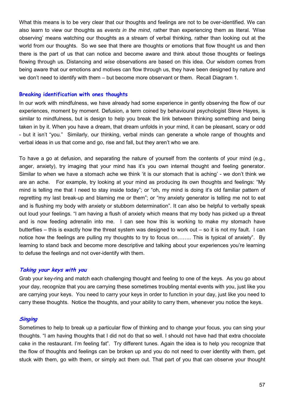What this means is to be very clear that our thoughts and feelings are not to be over-identified. We can also learn to view our thoughts as *events in the mind*, rather than experiencing them as literal. 'Wise observing' means watching our thoughts as a stream of verbal thinking, rather than looking out at the world from our thoughts. So we see that there are thoughts or emotions that flow thought us and then there is the part of us that can notice and become aware and think about those thoughts or feelings flowing through us. Distancing and *wise* observations are based on this idea. Our wisdom comes from being aware that our emotions and motives can flow through us, they have been designed by nature and we don't need to identify with them – but become more observant or them. Recall Diagram 1.

### **Breaking identification with ones thoughts**

In our work with mindfulness, we have already had some experience in gently observing the flow of our experiences, moment by moment. Defusion, a term coined by behavioural psychologist Steve Hayes, is similar to mindfulness, but is design to help you break the link between thinking something and being taken in by it. When you have a dream, that dream unfolds in your mind, it can be pleasant, scary or odd - but it isn't "you." Similarly, our thinking, verbal minds can generate a whole range of thoughts and verbal ideas in us that come and go, rise and fall, but they aren't who we are.

To have a go at defusion, and separating the nature of yourself from the contents of your mind (e.g., anger, anxiety), try imaging that your mind has it's you own internal thought and feeling generator. Similar to when we have a stomach ache we think 'it is our stomach that is aching' - we don't think we are an ache. For example, try looking at your mind as producing its own thoughts and feelings: "My mind is telling me that I need to stay inside today"; or "oh, my mind is doing it's old familiar pattern of regretting my last break-up and blaming me or them"; or "my anxiety generator is telling me not to eat and is flushing my body with anxiety or stubborn determination". It can also be helpful to verbally speak out loud your feelings. "I am having a flush of anxiety which means that my body has picked up a threat and is now feeding adrenalin into me. I can see how this is working to make my stomach have butterflies – this is exactly how the threat system was designed to work out – so it is not my fault. I can notice how the feelings are pulling my thoughts to try to focus on…….. This is typical of anxiety". By learning to stand back and become more descriptive and talking about your experiences you're learning to defuse the feelings and not over-identify with them.

### **Taking your keys with you**

Grab your key-ring and match each challenging thought and feeling to one of the keys. As you go about your day, recognize that you are carrying these sometimes troubling mental events with you, just like you are carrying your keys. You need to carry your keys in order to function in your day, just like you need to carry these thoughts. Notice the thoughts, and your ability to carry them, whenever you notice the keys.

### **Singing**

Sometimes to help to break up a particular flow of thinking and to change your focus, you can sing your thoughts. "I am having thoughts that I did not do that so well. I should not have had that extra chocolate cake in the restaurant. I'm feeling fat". Try different tunes. Again the idea is to help you recognize that the flow of thoughts and feelings can be broken up and you do not need to over identity with them, get stuck with them, go with them, or simply act them out. That part of you that can observe your thought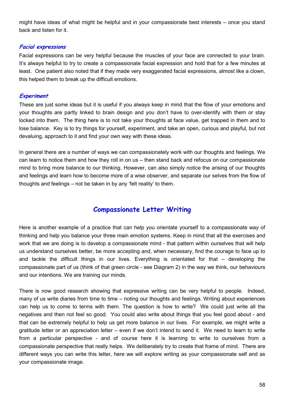might have ideas of what might be helpful and in your compassionate best interests – once you stand back and listen for it.

### **Facial expressions**

Facial expressions can be very helpful because the muscles of your face are connected to your brain. It's always helpful to try to create a compassionate facial expression and hold that for a few minutes at least. One patient also noted that if they made very exaggerated facial expressions, almost like a clown, this helped them to break up the difficult emotions.

### **Experiment**

These are just some ideas but it is useful if you always keep in mind that the flow of your emotions and your thoughts are partly linked to brain design and you don't have to over-identify with them or stay locked into them. The thing here is to not take your thoughts at face value, get trapped in them and to lose balance. Key is to try things for yourself, experiment, and take an open, curious and playful, but not devaluing, approach to it and find your own way with these ideas.

In general there are a number of ways we can compassionately work with our thoughts and feelings. We can learn to notice them and how they roll in on us – then stand back and refocus on our compassionate mind to bring more balance to our thinking. However, can also simply notice the arising of our thoughts and feelings and learn how to become more of a wise observer, and separate our selves from the flow of thoughts and feelings – not be taken in by any 'felt reality' to them.

### **Compassionate Letter Writing**

Here is another example of a practice that can help you orientate yourself to a compassionate way of thinking and help you balance your three main emotion systems. Keep in mind that all the exercises and work that we are doing is to develop a compassionate mind - that pattern within ourselves that will help us understand ourselves better, be more accepting and, when necessary, find the courage to face up to and tackle the difficult things in our lives. Everything is orientated for that – developing the compassionate part of us (think of that green circle - see Diagram 2) in the way we think, our behaviours and our intentions. We are training our minds.

There is now good research showing that expressive writing can be very helpful to people. Indeed, many of us write diaries from time to time – noting our thoughts and feelings. Writing about experiences can help us to come to terms with them. The question is how to write? We could just write all the negatives and then not feel so good. You could also write about things that you feel good about - and that can be extremely helpful to help us get more balance in our lives. For example, we might write a gratitude letter or an appreciation letter – even if we don't intend to send it. We need to learn to write from a particular perspective - and of course here it is learning to write to ourselves from a compassionate perspective that really helps. We deliberately try to create that frame of mind. There are different ways you can write this letter, here we will explore writing as your compassionate self and as your compassionate image.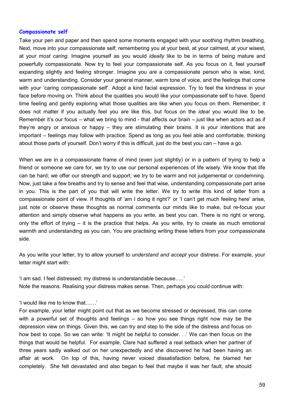#### **Compassionate self**

Take your pen and paper and then spend some moments engaged with your soothing rhythm breathing. Next, move into your compassionate self; remembering you at your best, at your calmest, at your wisest, at your *most caring*. Imagine yourself as you would *ideally* like to be in terms of being mature and powerfully compassionate. Now try to feel your compassionate self. As you focus on it, feel yourself expanding slightly and feeling stronger. Imagine you *are* a compassionate person who is wise, kind, warm and understanding. Consider your general manner, warm tone of voice, and the feelings that come with your 'caring compassionate self'. Adopt a kind facial expression. Try to feel the kindness in your face before moving on. Think about the qualities you would like your compassionate self to have. Spend time feeling and gently exploring what those qualities are like when you focus on them. Remember, it does not matter if you actually feel you are like this, but focus on the *ideal* you would like to be. Remember it's our focus – what we bring to mind - that affects our brain – just like when actors act as if they're angry or anxious or happy – they are stimulating their brains. It is your intentions that are important – feelings may follow with practice. Spend as long as you feel able and comfortable, thinking about those parts of yourself. Don't worry if this is difficult, just do the best you can – have a go.

When we are in a compassionate frame of mind (even just slightly) or in a pattern of trying to help a friend or someone we care for, we try to use our personal experiences of life wisely. We know that life can be hard; we offer our strength and support; we try to be warm and not judgemental or condemning. Now, just take a few breaths and try to sense and feel that wise, understanding compassionate part arise in you. This is the part of you that will write the letter. We try to write this kind of letter from a compassionate point of view. If thoughts of 'am I doing it right?' or 'I can't get much feeling here' arise, just note or observe these thoughts as normal comments our minds like to make, but re-focus your attention and simply observe what happens as you write, as best you can. There is no right or wrong, only the effort of trying – it is the practice that helps. As you write, try to create as much emotional warmth and understanding as you can. You are practising writing these letters from your compassionate side.

As you write your letter, try to allow yourself to *understand and accept* your distress. For example, your letter might start with:

'I am sad. I feel distressed; my distress is understandable because…..' Note the reasons. Realising your distress makes sense. Then, perhaps you could continue with:

'I would like me to know that……'

For example, your letter might point out that as we become stressed or depressed, this can come with a powerful set of thoughts and feelings – so how you see things right now may be the depression view on things. Given this, we can try and step to the side of the distress and focus on how best to cope. So we can write: 'It might be helpful to consider. . .' We can then focus on the things that would be helpful. For example, Clare had suffered a real setback when her partner of three years sadly walked out on her unexpectedly and she discovered he had been having an affair at work. On top of this, having never voiced dissatisfaction before, he blamed her completely. She felt devastated and also began to feel that maybe it was her fault, she should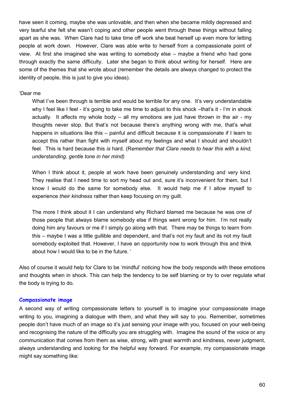have seen it coming, maybe she was unlovable, and then when she became mildly depressed and very tearful she felt she wasn't coping and other people went through these things without falling apart as she was. When Clare had to take time off work she beat herself up even more for letting people at work down. However, Clare was able write to herself from a compassionate point of view. At first she imagined she was writing to somebody else – maybe a friend who had gone through exactly the same difficulty. Later she began to think about writing for herself. Here are some of the themes that she wrote about (remember the details are always changed to protect the identity of people, this is just to give you ideas).

#### 'Dear me

What I've been through is terrible and would be terrible for any one. It's very understandable why I feel like I feel - it's going to take me time to adjust to this shock –that's it - I'm in shock actually. It affects my whole body – all my emotions are just have thrown in the air - my thoughts never stop. But that's not because there's anything wrong with me, that's what happens in situations like this – painful and difficult because it is compassionate if I learn to accept this rather than fight with myself about my feelings and what I should and shouldn't feel. This is hard because this *is* hard. (R*emember that Clare needs to hear this with a kind, understanding, gentle tone in her mind)*

When I think about it, people at work have been genuinely understanding and very kind. They realise that I need time to sort my head out and, sure it's inconvenient for them, but I know I would do the same for somebody else. It would help me if I allow myself to experience *their kindness* rather than keep focusing on my guilt.

The more I think about it I can understand why Richard blamed me because he was one of those people that always blame somebody else if things went wrong for him. I'm not really doing him any favours or me if I simply go along with that. There may be things to learn from this – maybe I was a little gullible and dependent, and that's not my fault and its not my fault somebody exploited that. However, I have an opportunity now to work through this and think about how I would like to be in the future. '

Also of course it would help for Clare to be 'mindful' noticing how the body responds with these emotions and thoughts when in shock. This can help the tendency to be self blaming or try to over regulate what the body is trying to do.

#### **Compassionate image**

A second way of writing compassionate letters to yourself is to imagine your compassionate image writing to you, imagining a dialogue with them, and what they will say to you. Remember, sometimes people don't have much of an image so it's just sensing your image with you, focused on your well-being and recognising the nature of the difficulty you are struggling with. Imagine the sound of the voice or any communication that comes from them as wise, strong, with great warmth and kindness, never judgment, always understanding and looking for the helpful way forward. For example, my compassionate image might say something like: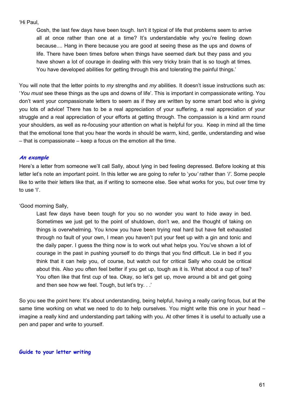### 'Hi Paul,

Gosh, the last few days have been tough. Isn't it typical of life that problems seem to arrive all at once rather than one at a time? It's understandable why you're feeling down because.... Hang in there because you are good at seeing these as the ups and downs of life. There have been times before when things have seemed dark but they pass and you have shown a lot of courage in dealing with this very tricky brain that is so tough at times. You have developed abilities for getting through this and tolerating the painful things.'

You will note that the letter points to *my* strengths and *my* abilities. It doesn't issue instructions such as: '*You must* see these things as the ups and downs of life'. This is important in compassionate writing. You don't want your compassionate letters to seem as if they are written by some smart bod who is giving you lots of advice! There has to be a real appreciation of your suffering, a real appreciation of your struggle and a real appreciation of your efforts at getting through. The compassion is a kind arm round your shoulders, as well as re-focusing your attention on what is helpful for you. Keep in mind all the time that the emotional tone that you hear the words in should be warm, kind, gentle, understanding and wise – that is compassionate – keep a focus on the emotion all the time.

### **An example**

Here's a letter from someone we'll call Sally, about lying in bed feeling depressed. Before looking at this letter let's note an important point. In this letter we are going to refer to '*you'* rather than '*I'*. Some people like to write their letters like that, as if writing to someone else. See what works for you, but over time try to use 'I'.

'Good morning Sally,

Last few days have been tough for you so no wonder you want to hide away in bed. Sometimes we just get to the point of shutdown, don't we, and the thought of taking on things is overwhelming. You know you have been trying real hard but have felt exhausted through no fault of your own, I mean you haven't put your feet up with a gin and tonic and the daily paper. I guess the thing now is to work out what helps you. You've shown a lot of courage in the past in pushing yourself to do things that you find difficult. Lie in bed if you think that it can help you, of course, but watch out for critical Sally who could be critical about this. Also you often feel better if you get up, tough as it is. What about a cup of tea? You often like that first cup of tea. Okay, so let's get up, move around a bit and get going and then see how we feel. Tough, but let's try. . .'

So you see the point here: It's about understanding, being helpful, having a really caring focus, but at the same time working on what we need to do to help ourselves. You might write this one in your head – imagine a really kind and understanding part talking with you. At other times it is useful to actually use a pen and paper and write to yourself.

### **Guide to your letter writing**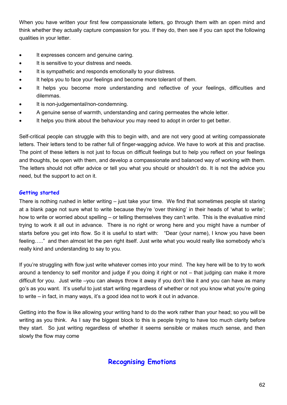When you have written your first few compassionate letters, go through them with an open mind and think whether they actually capture compassion for you. If they do, then see if you can spot the following qualities in your letter.

- It expresses concern and genuine caring.
- It is sensitive to your distress and needs.
- It is sympathetic and responds emotionally to your distress.
- It helps you to face your feelings and become more tolerant of them.
- It helps you become more understanding and reflective of your feelings, difficulties and dilemmas.
- It is non-judgemental/non-condemning.
- A genuine sense of warmth, understanding and caring permeates the whole letter.
- It helps you think about the behaviour you may need to adopt in order to get better.

Self-critical people can struggle with this to begin with, and are not very good at writing compassionate letters. Their letters tend to be rather full of finger-wagging advice. We have to work at this and practise. The point of these letters is not just to focus on difficult feelings but to help you reflect on your feelings and thoughts, be open with them, and develop a compassionate and balanced way of working with them. The letters should not offer advice or tell you what you should or shouldn't do. It is not the advice you need, but the support to act on it.

### **Getting started**

There is nothing rushed in letter writing – just take your time. We find that sometimes people sit staring at a blank page not sure what to write because they're 'over thinking' in their heads of 'what to write'; how to write or worried about spelling – or telling themselves they can't write. This is the evaluative mind trying to work it all out in advance. There is no right or wrong here and you might have a number of starts before you get into flow. So it is useful to start with: "Dear (your name), I know you have been feeling….." and then almost let the pen right itself. Just write what you would really like somebody who's really kind and understanding to say to you.

If you're struggling with flow just write whatever comes into your mind. The key here will be to try to work around a tendency to self monitor and judge if you doing it right or not – that judging can make it more difficult for you. Just write –you can always throw it away if you don't like it and you can have as many go's as you want. It's useful to just start writing regardless of whether or not you know what you're going to write – in fact, in many ways, it's a good idea not to work it out in advance.

Getting into the flow is like allowing your writing hand to do the work rather than your head; so you will be writing as you think. As I say the biggest block to this is people trying to have too much clarity before they start. So just writing regardless of whether it seems sensible or makes much sense, and then slowly the flow may come

# **Recognising Emotions**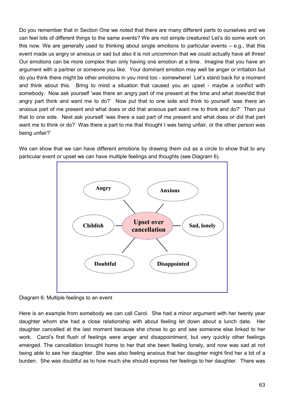Do you remember that in Section One we noted that there are many different parts to ourselves and we can feel lots of different things to the same events? We are not simple creatures! Let's do some work on this now. We are generally used to thinking about single emotions to particular events – e.g., that this event made us angry or anxious or sad but also it is not uncommon that we could actually have all three! Our emotions can be more complex than only having one emotion at a time. Imagine that you have an argument with a partner or someone you like. Your dominant emotion may well be anger or irritation but do you think there might be other emotions in you mind too - somewhere! Let's stand back for a moment and think about this. Bring to mind a situation that caused you an upset - maybe a conflict with somebody. Now ask yourself 'was there an angry part of me present at the time and what does/did that angry part think and want me to do?' Now put that to one side and think to yourself 'was there an anxious part of me present and what does or did that anxious part want me to think and do?' Then put that to one side. Next ask yourself 'was there a sad part of me present and what does or did that part want me to think or do? Was there a part to me that thought I was being unfair, or the other person was being unfair?'

We can show that we can have different emotions by drawing them out as a circle to show that to any particular event or upset we can have multiple feelings and thoughts (see Diagram 6).



Diagram 6: Multiple feelings to an event

Here is an example from somebody we can call Carol. She had a minor argument with her twenty year daughter whom she had a close relationship with about feeling let down about a lunch date. Her daughter cancelled at the last moment because she chose to go and see someone else linked to her work. Carol's first flush of feelings were anger and disappointment, but very quickly other feelings emerged. The cancellation brought home to her that she been feeling lonely, and now was sad at not being able to see her daughter. She was also feeling anxious that her daughter might find her a bit of a burden. She was doubtful as to how much she should express her feelings to her daughter. There was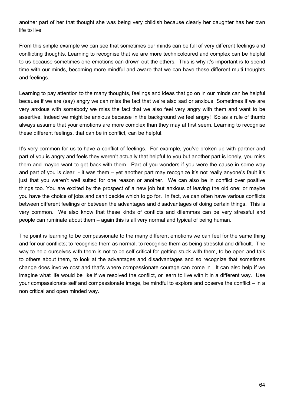another part of her that thought she was being very childish because clearly her daughter has her own life to live.

From this simple example we can see that sometimes our minds can be full of very different feelings and conflicting thoughts. Learning to recognise that we are more technicoloured and complex can be helpful to us because sometimes one emotions can drown out the others. This is why it's important is to spend time with our minds, becoming more mindful and aware that we can have these different multi-thoughts and feelings.

Learning to pay attention to the many thoughts, feelings and ideas that go on in our minds can be helpful because if we are (say) angry we can miss the fact that we're also sad or anxious. Sometimes if we are very anxious with somebody we miss the fact that we also feel very angry with them and want to be assertive. Indeed we might be anxious because in the background we feel angry! So as a rule of thumb always assume that your emotions are more complex than they may at first seem. Learning to recognise these different feelings, that can be in conflict, can be helpful.

It's very common for us to have a conflict of feelings. For example, you've broken up with partner and part of you is angry and feels they weren't actually that helpful to you but another part is lonely, you miss them and maybe want to get back with them. Part of you wonders if you were the cause in some way and part of you is clear - it was them – yet another part may recognize it's not really anyone's fault it's just that you weren't well suited for one reason or another. We can also be in conflict over positive things too. You are excited by the prospect of a new job but anxious of leaving the old one; or maybe you have the choice of jobs and can't decide which to go for. In fact, we can often have various conflicts between different feelings or between the advantages and disadvantages of doing certain things. This is very common. We also know that these kinds of conflicts and dilemmas can be very stressful and people can ruminate about them – again this is all very normal and typical of being human.

The point is learning to be compassionate to the many different emotions we can feel for the same thing and for our conflicts; to recognise them as normal, to recognise them as being stressful and difficult. The way to help ourselves with them is not to be self-critical for getting stuck with them, to be open and talk to others about them, to look at the advantages and disadvantages and so recognize that sometimes change does involve cost and that's where compassionate courage can come in. It can also help if we imagine what life would be like if we resolved the conflict, or learn to live with it in a different way. Use your compassionate self and compassionate image, be mindful to explore and observe the conflict – in a non critical and open minded way.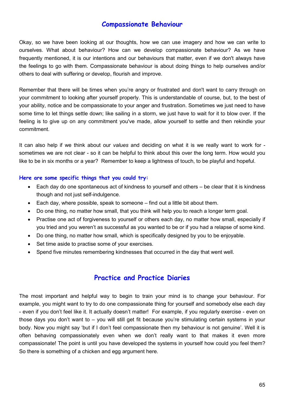### **Compassionate Behaviour**

Okay, so we have been looking at our thoughts, how we can use imagery and how we can write to ourselves. What about behaviour? How can we develop compassionate behaviour? As we have frequently mentioned, it is our intentions and our behaviours that matter, even if we don't always have the feelings to go with them. Compassionate behaviour is about doing things to help ourselves and/or others to deal with suffering or develop, flourish and improve.

Remember that there will be times when you're angry or frustrated and don't want to carry through on your commitment to looking after yourself properly. This is understandable of course, but, to the best of your ability, notice and be compassionate to your anger and frustration. Sometimes we just need to have some time to let things settle down; like sailing in a storm, we just have to wait for it to blow over. If the feeling is to give up on any commitment you've made, allow yourself to settle and then rekindle your commitment.

It can also help if we think about our *values* and deciding on what it is we really want to work for sometimes we are not clear - so it can be helpful to think about this over the long term. How would you like to be in six months or a year? Remember to keep a lightness of touch, to be playful and hopeful.

### **Here are some specific things that you could try:**

- Each day do one spontaneous act of kindness to yourself and others be clear that it is kindness though and not just self-indulgence.
- Each day, where possible, speak to someone find out a little bit about them.
- Do one thing, no matter how small, that you think will help you to reach a longer term goal.
- Practise one act of forgiveness to yourself or others each day, no matter how small, especially if you tried and you weren't as successful as you wanted to be or if you had a relapse of some kind.
- Do one thing, no matter how small, which is specifically designed by you to be enjoyable.
- Set time aside to practise some of your exercises.
- Spend five minutes remembering kindnesses that occurred in the day that went well.

### **Practice and Practice Diaries**

The most important and helpful way to begin to train your mind is to change your behaviour. For example, you might want to try to do one compassionate thing for yourself and somebody else each day - even if you don't feel like it. It actually doesn't matter! For example, if you regularly exercise - even on those days you don't want to – you will still get fit because you're stimulating certain systems in your body. Now you might say 'but if I don't feel compassionate then my behaviour is not genuine'. Well it is often behaving compassionately even when we don't really want to that makes it even more compassionate! The point is until you have developed the systems in yourself how could you feel them? So there is something of a chicken and egg argument here.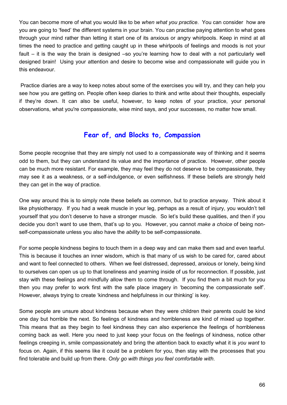You can become more of what you would like to be *when what you practice*. You can consider how are you are going to 'feed' the different systems in your brain. You can practise paying attention to what goes through your mind rather than letting it start one of its anxious or angry whirlpools. Keep in mind at all times the need to practice and getting caught up in these whirlpools of feelings and moods is not your fault – it is the way the brain is designed –so you're learning how to deal with a not particularly well designed brain! Using your attention and desire to become wise and compassionate will guide you in this endeavour.

 Practice diaries are a way to keep notes about some of the exercises you will try, and they can help you see how you are getting on. People often keep diaries to think and write about their thoughts, especially if they're down. It can also be useful, however, to keep notes of your practice, your personal observations, what you're compassionate, wise mind says, and your successes, no matter how small.

### **Fear of, and Blocks to, Compassion**

Some people recognise that they are simply not used to a compassionate way of thinking and it seems odd to them, but they can understand its value and the importance of practice. However, other people can be much more resistant. For example, they may feel they do not deserve to be compassionate, they may see it as a weakness, or a self-indulgence, or even selfishness. If these beliefs are strongly held they can get in the way of practice.

One way around this is to simply note these beliefs as common, but to practice anyway. Think about it like physiotherapy. If you had a weak muscle in your leg, perhaps as a result of injury, you wouldn't tell yourself that you don't deserve to have a stronger muscle. So let's build these qualities, and then if you decide you don't want to use them, that's up to you. However, you cannot *make a choice* of being nonself-compassionate unless you also have the *ability* to be self-compassionate.

For some people kindness begins to touch them in a deep way and can make them sad and even tearful. This is because it touches an inner wisdom, which is that many of us wish to be cared for, cared about and want to feel connected to others. When we feel distressed, depressed, anxious or lonely, being kind to ourselves can open us up to that loneliness and yearning inside of us for reconnection. If possible, just stay with these feelings and mindfully allow them to come through. If you find them a bit much for you then you may prefer to work first with the safe place imagery in 'becoming the compassionate self'. However, always trying to create 'kindness and helpfulness in our thinking' is key.

Some people are unsure about kindness because when they were children their parents could be kind one day but horrible the next. So feelings of kindness and horribleness are kind of mixed up together. This means that as they begin to feel kindness they can also experience the feelings of horribleness coming back as well. Here you need to just keep your focus on the feelings of kindness, notice other feelings creeping in, smile compassionately and bring the attention back to exactly what it is *you want* to focus on. Again, if this seems like it could be a problem for you, then stay with the processes that you find tolerable and build up from there. *Only go with things you feel comfortable with*.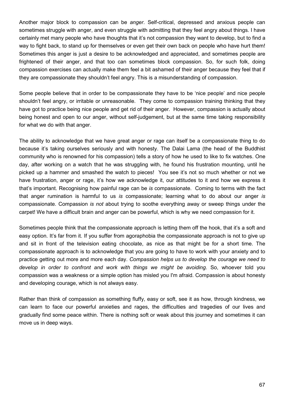Another major block to compassion can be *anger*. Self-critical, depressed and anxious people can sometimes struggle with anger, and even struggle with admitting that they feel angry about things. I have certainly met many people who have thoughts that it's not compassion they want to develop, but to find a way to fight back, to stand up for themselves or even get their own back on people who have hurt them! Sometimes this anger is just a desire to be acknowledged and appreciated, and sometimes people are frightened of their anger, and that too can sometimes block compassion. So, for such folk, doing compassion exercises can actually make them feel a bit ashamed of their anger because they feel that if they are compassionate they shouldn't feel angry. This is a misunderstanding of compassion.

Some people believe that in order to be compassionate they have to be 'nice people' and nice people shouldn't feel angry, or irritable or unreasonable. They come to compassion training thinking that they have got to practice being nice people and get rid of their anger. However, compassion is actually about being honest and open to our anger, without self-judgement, but at the same time taking responsibility for what we do with that anger.

The ability to acknowledge that we have great anger or rage can itself be a compassionate thing to do because it's taking ourselves seriously and with honesty. The Dalai Lama (the head of the Buddhist community who is renowned for his compassion) tells a story of how he used to like to fix watches. One day, after working on a watch that he was struggling with, he found his frustration mounting, until he picked up a hammer and smashed the watch to pieces! You see it's not so much whether or not we have frustration, anger or rage, it's how we acknowledge it, our attitudes to it and how we express it that's important. Recognising how painful rage can be *is* compassionate. Coming to terms with the fact that anger rumination is harmful to us *is* compassionate; learning what to do about our anger *is*  compassionate. Compassion *is not* about trying to soothe everything away or sweep things under the carpet! We have a difficult brain and anger can be powerful, which is why we need compassion for it.

Sometimes people think that the compassionate approach is letting them off the hook, that it's a soft and easy option. It's far from it. If you suffer from agoraphobia the compassionate approach is not to give up and sit in front of the television eating chocolate, as nice as that might be for a short time. The compassionate approach is to acknowledge that you are going to have to work with your anxiety and to practice getting out more and more each day. *Compassion helps us to develop the courage we need to develop in order to confront and work with things we might be avoiding*. So, whoever told you compassion was a weakness or a simple option has misled you I'm afraid. Compassion is about honesty and developing courage, which is not always easy.

Rather than think of compassion as something fluffy, easy or soft, see it as how, through kindness, we can learn to face our powerful anxieties and rages, the difficulties and tragedies of our lives and gradually find some peace within. There is nothing soft or weak about this journey and sometimes it can move us in deep ways.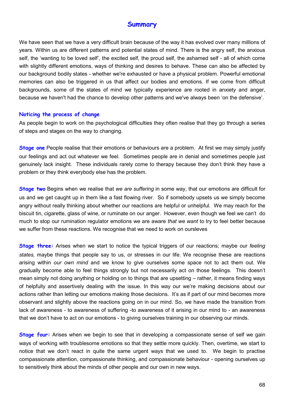### **Summary**

We have seen that we have a very difficult brain because of the way it has evolved over many millions of years. Within us are different patterns and potential states of mind. There is the angry self, the anxious self, the 'wanting to be loved self', the excited self, the proud self, the ashamed self - all of which come with slightly different emotions, ways of thinking and desires to behave. These can also be affected by our background bodily states - whether we're exhausted or have a physical problem. Powerful emotional memories can also be triggered in us that affect our bodies and emotions. If we come from difficult backgrounds, some of the states of mind we typically experience are rooted in anxiety and anger, because we haven't had the chance to develop other patterns and we've always been 'on the defensive'.

#### **Noticing the process of change**

As people begin to work on the psychological difficulties they often realise that they go through a series of steps and stages on the way to changing.

**Stage one** People realise that their emotions or behaviours are a problem. At first we may simply justify our feelings and act out whatever we feel. Sometimes people are in denial and sometimes people just genuinely lack insight. These individuals rarely come to therapy because they don't think they have a problem or they think everybody else has the problem.

**Stage two** Begins when we realise that *we are suffering* in some way, that our emotions are difficult for us and we get caught up in them like a fast flowing river. So if somebody upsets us we simply become angry without really thinking about whether our reactions are helpful or unhelpful. We may reach for the biscuit tin, cigarette, glass of wine, or ruminate on our anger. However, even though we feel we can't do much to stop our rumination regulator emotions we are aware *that we want* to try to feel better because we suffer from these reactions. We recognise that we need to work on oursleves

**Stage three:** Arises when we start to notice the typical triggers of our reactions; maybe our *feeling states,* maybe things that people say to us, or stresses in our life. We recognise these are reactions arising within *our own mind* and we know to give ourselves some space not to act them out. We gradually become able to feel things strongly but not necessarily act on those feelings. This doesn't mean simply not doing anything or holding on to things that are upsetting – rather, it means finding ways of helpfully and assertively dealing with the issue. In this way our we're making decisions about our actions rather than letting our emotions making those decisions. It's as if part of our mind becomes more observant and slightly above the reactions going on in our mind. So, we have made the transition from lack of awareness - to awareness of suffering -to awareness of it arising in our mind to - an awareness that we don't have to act on our emotions - to giving ourselves training in our observing our minds.

**Stage four:** Arises when we begin to see that in developing a compassionate sense of self we gain ways of working with troublesome emotions so that they settle more quickly. Then, overtime, we start to notice that we don't react in quite the same urgent ways that we used to. We begin to practise compassionate attention, compassionate thinking, and compassionate behaviour - opening ourselves up to sensitively think about the minds of other people and our own in new ways.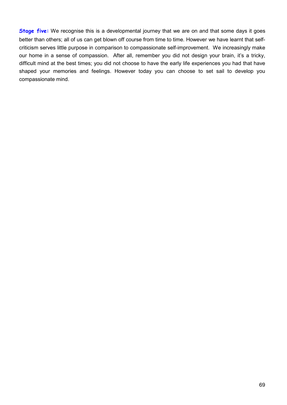**Stage five:** We recognise this is a developmental journey that we are on and that some days it goes better than others; all of us can get blown off course from time to time. However we have learnt that selfcriticism serves little purpose in comparison to compassionate self-improvement. We increasingly make our home in a sense of compassion. After all, remember you did not design your brain, it's a tricky, difficult mind at the best times; you did not choose to have the early life experiences you had that have shaped your memories and feelings. However today you can choose to set sail to develop you compassionate mind.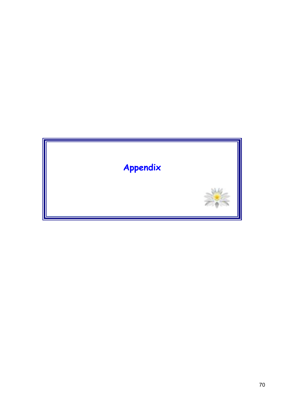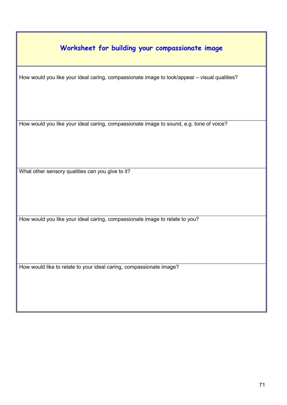| Worksheet for building your compassionate image                                              |  |  |
|----------------------------------------------------------------------------------------------|--|--|
| How would you like your ideal caring, compassionate image to look/appear - visual qualities? |  |  |
| How would you like your ideal caring, compassionate image to sound, e.g. tone of voice?      |  |  |
| What other sensory qualities can you give to it?                                             |  |  |
| How would you like your ideal caring, compassionate image to relate to you?                  |  |  |
| How would like to relate to your ideal caring, compassionate image?                          |  |  |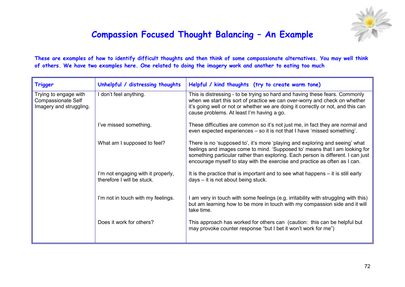

# **Compassion Focused Thought Balancing – An Example**

**These are examples of how to identify difficult thoughts and then think of some compassionate alternatives. You may well think of others. We have two examples here. One related to doing the imagery work and another to eating too much** 

| <b>Trigger</b>                                                                | Unhelpful / distressing thoughts                                 | Helpful / kind thoughts (try to create warm tone)                                                                                                                                                                                                                                                                             |
|-------------------------------------------------------------------------------|------------------------------------------------------------------|-------------------------------------------------------------------------------------------------------------------------------------------------------------------------------------------------------------------------------------------------------------------------------------------------------------------------------|
| Trying to engage with<br><b>Compassionate Self</b><br>Imagery and struggling. | I don't feel anything.                                           | This is distressing - to be trying so hard and having these fears. Commonly<br>when we start this sort of practice we can over-worry and check on whether<br>it's going well or not or whether we are doing it correctly or not, and this can<br>cause problems. At least I'm having a go.                                    |
|                                                                               | I've missed something.                                           | These difficulties are common so it's not just me, in fact they are normal and<br>even expected experiences – so it is not that I have 'missed something'.                                                                                                                                                                    |
|                                                                               | What am I supposed to feel?                                      | There is no 'supposed to', it's more 'playing and exploring and seeing' what<br>feelings and images come to mind. 'Supposed to' means that I am looking for<br>something particular rather than exploring. Each person is different. I can just<br>encourage myself to stay with the exercise and practice as often as I can. |
|                                                                               | I'm not engaging with it properly,<br>therefore I will be stuck. | It is the practice that is important and to see what happens – it is still early<br>days – it is not about being stuck.                                                                                                                                                                                                       |
|                                                                               | I'm not in touch with my feelings.                               | am very in touch with some feelings (e.g. irritability with struggling with this)<br>but am learning how to be more in touch with my compassion side and it will<br>take time.                                                                                                                                                |
|                                                                               | Does it work for others?                                         | This approach has worked for others can (caution: this can be helpful but<br>may provoke counter response "but I bet it won't work for me")                                                                                                                                                                                   |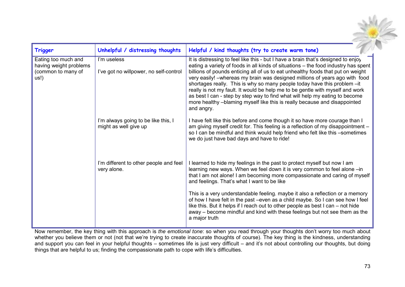| <b>Trigger</b>                                                              | Unhelpful / distressing thoughts                             | Helpful / kind thoughts (try to create warm tone)                                                                                                                                                                                                                                                                                                                                                                                                                                                                                                                                                                                                                                 |
|-----------------------------------------------------------------------------|--------------------------------------------------------------|-----------------------------------------------------------------------------------------------------------------------------------------------------------------------------------------------------------------------------------------------------------------------------------------------------------------------------------------------------------------------------------------------------------------------------------------------------------------------------------------------------------------------------------------------------------------------------------------------------------------------------------------------------------------------------------|
| Eating too much and<br>having weight problems<br>(common to many of<br>US!) | I'm useless<br>I've got no willpower, no self-control        | It is distressing to feel like this - but I have a brain that's designed to enjoy<br>eating a variety of foods in all kinds of situations - the food industry has spent<br>billions of pounds enticing all of us to eat unhealthy foods that put on weight<br>very easily! - whereas my brain was designed millions of years ago with food<br>shortages really. This is why so many people today have this problem -it<br>really is not my fault. It would be help me to be gentle with myself and work<br>as best I can - step by step way to find what will help my eating to become<br>more healthy -blaming myself like this is really because and disappointed<br>and angry. |
|                                                                             | I'm always going to be like this, I<br>might as well give up | I have felt like this before and come though it so have more courage than I<br>am giving myself credit for. This feeling is a reflection of my disappointment -<br>so I can be mindful and think would help friend who felt like this -sometimes<br>we do just have bad days and have to ride!                                                                                                                                                                                                                                                                                                                                                                                    |
|                                                                             | I'm different to other people and feel<br>very alone.        | I learned to hide my feelings in the past to protect myself but now I am<br>learning new ways. When we feel down it is very common to feel alone -in<br>that I am not alone! I am becoming more compassionate and caring of myself<br>and feelings. That's what I want to be like                                                                                                                                                                                                                                                                                                                                                                                                 |
|                                                                             |                                                              | This is a very understandable feeling. maybe it also a reflection or a memory<br>of how I have felt in the past –even as a child maybe. So I can see how I feel<br>like this. But it helps if I reach out to other people as best I can – not hide<br>away – become mindful and kind with these feelings but not see them as the<br>a major truth                                                                                                                                                                                                                                                                                                                                 |

Now remember, the key thing with this approach is *the emotional tone*: so when you read through your thoughts don't worry too much about whether you believe them or not (not that we're trying to create inaccurate thoughts of course). The key thing is the kindness, understanding and support you can feel in your helpful thoughts – sometimes life is just very difficult – and it's not about controlling our thoughts, but doing things that are helpful to us; finding the compassionate path to cope with life's difficulties.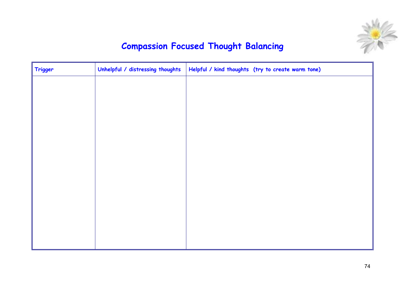

## **Compassion Focused Thought Balancing**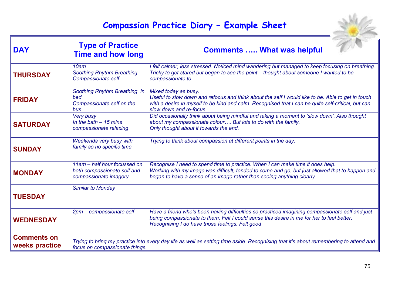## **Compassion Practice Diary – Example Sheet**

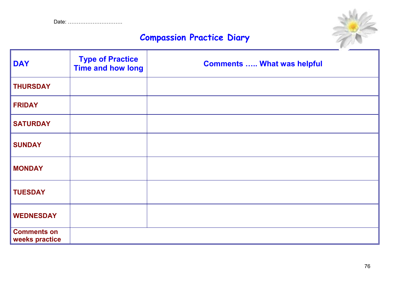

## **Compassion Practice Diary**

| <b>DAY</b>                           | <b>Type of Practice</b><br><b>Time and how long</b> | <b>Comments  What was helpful</b> |
|--------------------------------------|-----------------------------------------------------|-----------------------------------|
| <b>THURSDAY</b>                      |                                                     |                                   |
| <b>FRIDAY</b>                        |                                                     |                                   |
| <b>SATURDAY</b>                      |                                                     |                                   |
| <b>SUNDAY</b>                        |                                                     |                                   |
| <b>MONDAY</b>                        |                                                     |                                   |
| <b>TUESDAY</b>                       |                                                     |                                   |
| <b>WEDNESDAY</b>                     |                                                     |                                   |
| <b>Comments on</b><br>weeks practice |                                                     |                                   |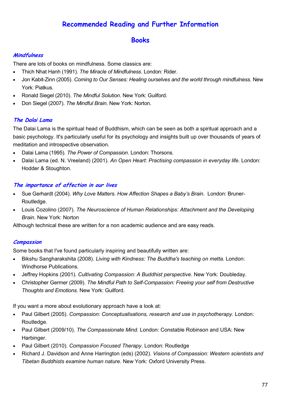## **Recommended Reading and Further Information**

## **Books**

## **Mindfulness**

There are lots of books on mindfulness. Some classics are:

- Thich Nhat Hanh (1991). *The Miracle of Mindfulness*. London: Rider.
- Jon Kabit-Zinn (2005). *Coming to Our Senses: Healing ourselves and the world through mindfulness.* New York: Piatkus.
- Ronald Siegel (2010). *The Mindful Solution*. New York: Guilford.
- Don Siegel (2007). *The Mindful Brain*. New York: Norton.

## **The Dalai Lama**

The Dalai Lama is the spiritual head of Buddhism, which can be seen as both a spiritual approach and a basic psychology. It's particularly useful for its psychology and insights built up over thousands of years of meditation and introspective observation.

- Dalai Lama (1995). *The Power of Compassion*. London: Thorsons.
- Dalai Lama (ed. N. Vreeland) (2001). *An Open Heart: Practising compassion in everyday life*. London: Hodder & Stoughton.

## **The importance of affection in our lives**

- Sue Gerhardt (2004). *Why Love Matters*. *How Affection Shapes a Baby's Brain*. London: Bruner-Routledge.
- Louis Cozolino (2007). *The Neuroscience of Human Relationships: Attachment and the Developing Brain*. New York: Norton

Although technical these are written for a non academic audience and are easy reads.

## **Compassion**

Some books that I've found particularly inspiring and beautifully written are:

- Bikshu Sangharakshita (2008). *Living with Kindness: The Buddha's teaching on metta*. London: Windhorse Publications.
- Jeffrey Hopkins (2001). *Cultivating Compassion: A Buddhist perspective*. New York: Doubleday.
- Christopher Germer (2009). *The Mindful Path to Self-Compassion: Freeing your self from Destructive Thoughts and Emotions*. New York: Guilford.

If you want a more about evolutionary approach have a look at:

- Paul Gilbert (2005). *Compassion: Conceptualisations, research and use in psychotherapy.* London: Routledge.
- Paul Gilbert (2009/10). *The Compassionate Mind.* London: Constable Robinson and USA: New Harbinger.
- Paul Gilbert (2010). *Compassion Focused Therapy*. London: Routledge
- Richard J. Davidson and Anne Harrington (eds) (2002). *Visions of Compassion: Western scientists and Tibetan Buddhists examine human nature.* New York: Oxford University Press.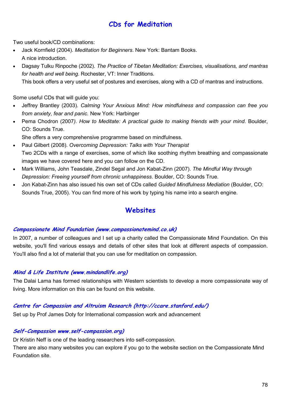## **CDs for Meditation**

Two useful book/CD combinations:

- Jack Kornfield (2004). *Meditation for Beginners*. New York: Bantam Books. A nice introduction.
- Dagsay Tulku Rinpoche (2002). *The Practice of Tibetan Meditation: Exercises, visualisations, and mantras for health and well being*. Rochester, VT: Inner Traditions. This book offers a very useful set of postures and exercises, along with a CD of mantras and instructions.

Some useful CDs that will guide you:

- Jeffrey Brantley (2003). *Calming Your Anxious Mind: How mindfulness and compassion can free you from anxiety, fear and panic.* New York: Harbinger
- Pema Chodron (2007*). How to Meditate: A practical guide to making friends with your mind*. Boulder, CO: Sounds True.

She offers a very comprehensive programme based on mindfulness.

- Paul Gilbert (2008). *Overcoming Depression: Talks with Your Therapist* Two 2CDs with a range of exercises, some of which like soothing rhythm breathing and compassionate images we have covered here and you can follow on the CD.
- Mark Williams, John Teasdale, Zindel Segal and Jon Kabat-Zinn (2007). *The Mindful Way through Depression: Freeing yourself from chronic unhappiness*. Boulder, CO: Sounds True.
- Jon Kabat-Zinn has also issued his own set of CDs called *Guided Mindfulness Mediation* (Boulder, CO: Sounds True, 2005). You can find more of his work by typing his name into a search engine.

## **Websites**

#### **Compassionate Mind Foundation (www.compassionatemind.co.uk)**

In 2007, a number of colleagues and I set up a charity called the Compassionate Mind Foundation. On this website, you'll find various essays and details of other sites that look at different aspects of compassion. You'll also find a lot of material that you can use for meditation on compassion.

### **Mind & Life Institute (www.mindandlife.org)**

The Dalai Lama has formed relationships with Western scientists to develop a more compassionate way of living. More information on this can be found on this website.

### **Centre for Compassion and Altruism Research (http://ccare.stanford.edu/)**

Set up by Prof James Doty for International compassion work and advancement

### **Self-Compassion www.self-compassion.org)**

Dr Kristin Neff is one of the leading researchers into self-compassion.

There are also many websites you can explore if you go to the website section on the Compassionate Mind Foundation site.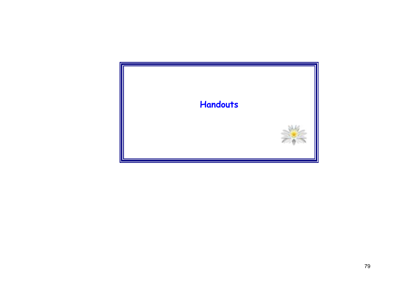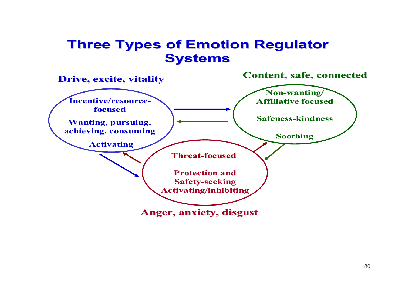# **Three Types of Emotion Regulator Systems Systems**

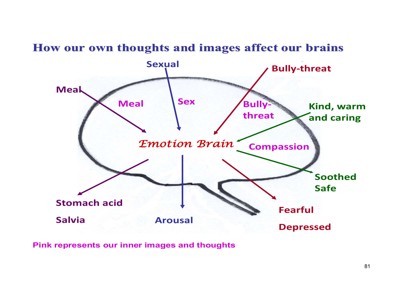

**Pink represents our inner images and thoughts**